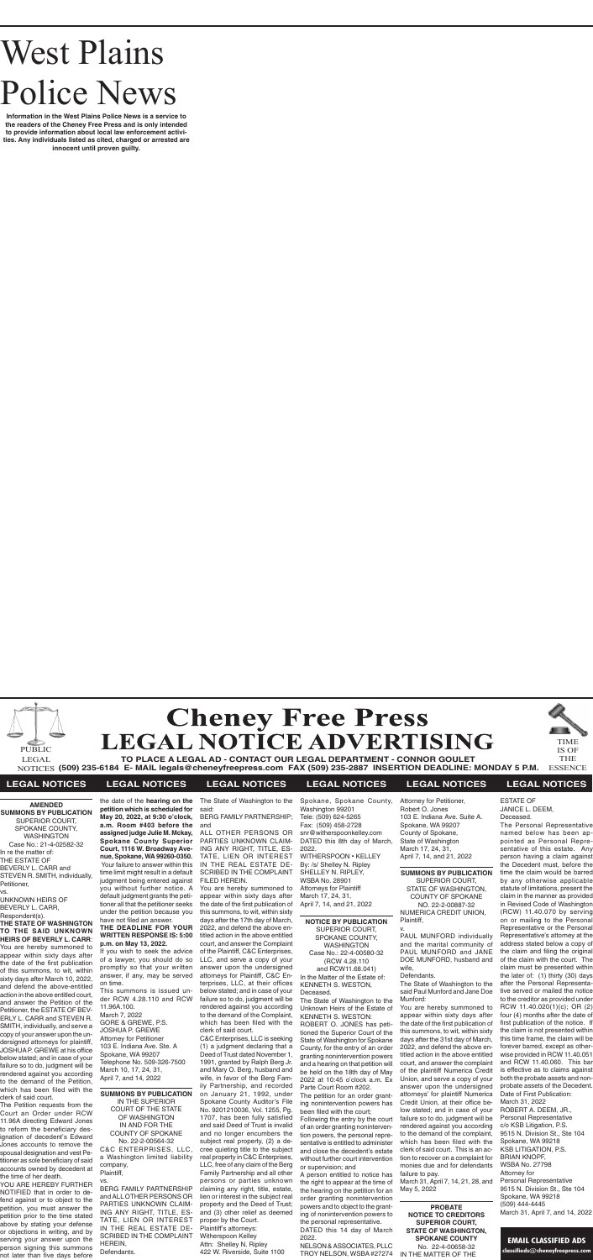# West Plains Police News

**Information in the West Plains Police News is a service to the readers of the Cheney Free Press and is only intended to provide information about local law enforcement activities. Any individuals listed as cited, charged or arrested are innocent until proven guilty.**



**TO PLACE A LEGAL AD - CONTACT OUR LEGAL DEPARTMENT - CONNOR GOULET (509) 235-6184 E- MAIL legals@cheneyfreepress.com FAX (509) 235-2887 INSERTION DEADLINE: MONDAY 5 P.M.** NOTICES THE ESSENCE



IS OF



#### **LEGAL NOTICES LEGAL NOTICES LEGAL NOTICES LEGAL NOTICES LEGAL NOTICES LEGAL NOTICES**

**AMENDED SUMMONS BY PUBLICATION** SUPERIOR COURT, SPOKANE COUNTY, **WASHINGTON** Case No.: 21-4-02582-32

In re the matter of: THE ESTATE OF BEVERLY L. CARR and STEVEN R. SMITH, individually,

Petitioner, vs.

UNKNOWN HEIRS OF BEVERLY L. CARR, Respondent(s).

**THE STATE OF WASHINGTON TO THE SAID UNKNOWN HEIRS OF BEVERLY L. CARR**: You are hereby summoned to appear within sixty days after the date of the first publication of this summons, to wit, within sixty days after March 10, 2022, and defend the above-entitled action in the above entitled court, and answer the Petition of the Petitioner, the ESTATE OF BEV-ERLY L. CARR and STEVEN R. SMITH, individually, and serve a copy of your answer upon the undersigned attorneys for plaintiff, JOSHUA P. GREWE at his office below stated; and in case of your failure so to do, judgment will be rendered against you according to the demand of the Petition,

clerk of said court.

the time of her death.

**petition which is scheduled for a.m. Room #403 before the assigned judge Julie M. Mckay, Spokane County Superior Court, 1116 W. Broadway Avenue, Spokane, WA 99260-0350.**  Your failure to answer within this time limit might result in a default judgment being entered against you without further notice. A default judgment grants the petitioner all that the petitioner seeks under the petition because you

which has been filed with the The Petition requests from the Court an Order under RCW 11.96A directing Edward Jones to reform the beneficiary designation of decedent's Edward Jones accounts to remove the spousal designation and vest Petitioner as sole beneficiary of said accounts owned by decedent at IN THE SUPERIOR COURT OF THE STATE OF WASHINGTON IN AND FOR THE No. 22-2-00564-32 company, Plaintiff,

# **THE DEADLINE FOR YOUR**

YOU ARE HEREBY FURTHER NOTIFIED that in order to defend against or to object to the petition, you must answer the petition prior to the time stated above by stating your defense or objections in writing, and by serving your answer upon the person signing this summons not later than five days before BERG FAMILY PARTNERSHIP HEREIN,

### have not filed an answer. **WRITTEN RESPONSE IS: 5:00 p.m. on May 13, 2022.**

If you wish to seek the advice of a lawyer, you should do so promptly so that your written answer, if any, may be served on time.

the date of the **hearing on the**  The State of Washington to the said:

**May 20, 2022, at 9:30 o'clock,**  BERG FAMILY PARTNERSHIP;

This summons is issued under RCW 4.28.110 and RCW 11.96A.100. March 7, 2022 GORE & GREWE, P.S. JOSHUA P. GREWE Attorney for Petitioner 103 E. Indiana Ave. Ste. A Spokane, WA 99207 Telephone No. 509-326-7500 March 10, 17, 24, 31, April 7, and 14, 2022

## **SUMMONS BY PUBLICATION** COUNTY OF SPOKANE C&C ENTERPRISES, LLC, a Washington limited liability vs.

and ALL OTHER PERSONS OR PARTIES UNKNOWN CLAIM-ING ANY RIGHT, TITLE, ES-TATE, LIEN OR INTEREST IN THE REAL ESTATE DE-SCRIBED IN THE COMPLAINT Defendants.

v. PAUL MUNFORD individually and the marital community of PAUL MUNFORD and JANE DOE MUNFORD, husband and wife.

and

ALL OTHER PERSONS OR PARTIES UNKNOWN CLAIM-ING ANY RIGHT, TITLE, ES-TATE, LIEN OR INTEREST IN THE REAL ESTATE DE-SCRIBED IN THE COMPLAINT FILED HEREIN.

You are hereby summoned to appear within sixty days after the date of the first publication of this summons, to wit, within sixty days after the 17th day of March, 2022, and defend the above entitled action in the above entitled court, and answer the Complaint of the Plaintiff, C&C Enterprises, LLC, and serve a copy of your answer upon the undersigned attorneys for Plaintiff, C&C Enterprises, LLC, at their offices below stated; and in case of your failure so to do, judgment will be rendered against you according to the demand of the Complaint, which has been filed with the clerk of said court.

C&C Enterprises, LLC is seeking (1) a judgment declaring that a Deed of Trust dated November 1, 1991, granted by Ralph Berg Jr. and Mary O. Berg, husband and wife, in favor of the Berg Family Partnership, and recorded on January 21, 1992, under Spokane County Auditor's File No. 9201210036, Vol. 1255, Pg. 1707, has been fully satisfied and said Deed of Trust is invalid and no longer encumbers the subject real property, (2) a decree quieting title to the subject real property in C&C Enterprises, LLC, free of any claim of the Berg Family Partnership and all other persons or parties unknown claiming any right, title, estate, lien or interest in the subject real property and the Deed of Trust; and (3) other relief as deemed proper by the Court. Plaintiff's attorneys: Witherspoon Kelley Attn: Shelley N. Ripley 422 W. Riverside, Suite 1100

Spokane, Spokane County, Washington 99201 Tele: (509) 624-5265 Fax: (509) 458-2728 snr@witherspoonkelley.com DATED this 8th day of March, 2022. WITHERSPOON • KELLEY By: /s/ Shelley N. Ripley

SHELLEY N. RIPLEY, WSBA No. 28901 Attorneys for Plaintiff March 17, 24, 31, April 7, 14, and 21, 2022

#### **NOTICE BY PUBLICATION**

SUPERIOR COURT, SPOKANE COUNTY, WASHINGTON Case No.: 22-4-00580-32 (RCW 4.28.110 and RCW11.68.041) In the Matter of the Estate of: KENNETH S. WESTON, Deceased.

The State of Washington to the Unknown Heirs of the Estate of KENNETH S. WESTON:

ROBERT O. JONES has petitioned the Superior Court of the State of Washington for Spokane County, for the entry of an order granting nonintervention powers and a hearing on that petition will be held on the 18th day of May 2022 at 10:45 o'clock a.m. Ex Parte Court Room #202.

The petition for an order granting nonintervention powers has been filed with the court;

Following the entry by the court of an order granting nonintervention powers, the personal representative is entitled to administer and close the decedent's estate without further court intervention or supervision; and

A person entitled to notice has the right to appear at the time of the hearing on the petition for an order granting nonintervention powers and to object to the granting of nonintervention powers to the personal representative. DATED this 14 day of March

2022. NELSON & ASSOCIATES, PLLC TROY NELSON, WSBA #27274 Attorney for Petitioner, Robert O. Jones 103 E. Indiana Ave. Suite A. Spokane, WA 99207 County of Spokane, State of Washington March 17, 24, 31, April 7, 14, and 21, 2022

#### **SUMMONS BY PUBLICATION**

SUPERIOR COURT, STATE OF WASHINGTON, COUNTY OF SPOKANE NO. 22-2-00887-32 NUMERICA CREDIT UNION, Plaintiff,

#### Defendants.

The State of Washington to the said Paul Munford and Jane Doe Munford:

You are hereby summoned to appear within sixty days after the date of the first publication of this summons, to wit, within sixty days after the 31st day of March, 2022, and defend the above entitled action in the above entitled court, and answer the complaint of the plaintiff Numerica Credit Union, and serve a copy of your answer upon the undersigned attorneys' for plaintiff Numerica Credit Union, at their office below stated; and in case of your failure so to do, judgment will be rendered against you according to the demand of the complaint, which has been filed with the clerk of said court. This is an action to recover on a complaint for monies due and for defendants failure to pay.

March 31, April 7, 14, 21, 28, and

May 5, 2022

# **PROBATE**

#### **NOTICE TO CREDITORS SUPERIOR COURT, STATE OF WASHINGTON, SPOKANE COUNTY** No. 22-4-00658-32

IN THE MATTER OF THE

ESTATE OF JANICE L. DEEM, Deceased.

The Personal Representative named below has been appointed as Personal Representative of this estate. Any person having a claim against the Decedent must, before the time the claim would be barred by any otherwise applicable statute of limitations, present the claim in the manner as provided in Revised Code of Washington (RCW) 11.40.070 by serving on or mailing to the Personal Representative or the Personal Representative's attorney at the address stated below a copy of the claim and filing the original of the claim with the court. The claim must be presented within the later of: (1) thirty (30) days after the Personal Representative served or mailed the notice to the creditor as provided under RCW 11.40.020(1)(c); OR (2) four (4) months after the date of first publication of the notice. If the claim is not presented within this time frame, the claim will be forever barred, except as otherwise provided in RCW 11.40.051 and RCW 11.40.060. This bar is effective as to claims against both the probate assets and nonprobate assets of the Decedent. Date of First Publication: March 31, 2022 ROBERT A. DEEM, JR., Personal Representative c/o KSB Litigation, P.S. 9515 N. Division St., Ste 104 Spokane, WA 99218 KSB LITIGATION, P.S. BRIAN KNOPF, WSBA No. 27798 Attorney for Personal Representative 9515 N. Division St., Ste 104 Spokane, WA 99218 (509) 444-4445 March 31, April 7, and 14, 2022

#### **EMAIL CLASSIFIED ADS**

**classifieds@cheneyfreepress.com**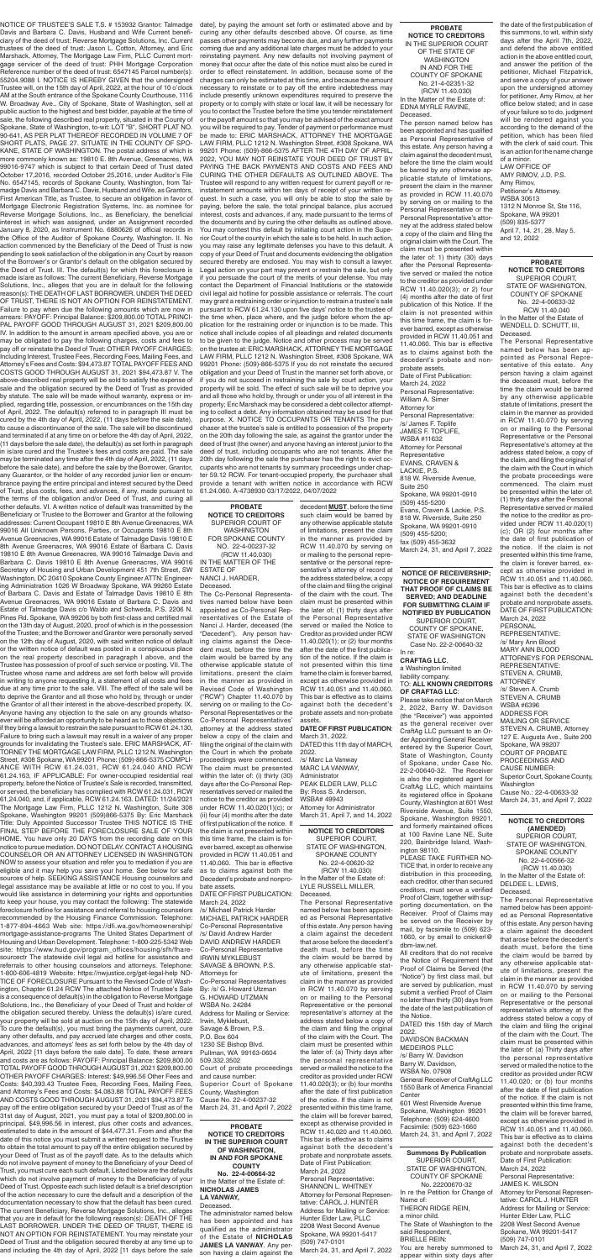**NOTICE TO CREDITORS** SUPERIOR COURT, STATE OF WASHINGTON, SPOKANE COUNTY No. 22-4-00620-32 (RCW 11.40.030) In the Matter of the Estate of: LYLE RUSSELL MILLER, Deceased.

The Personal Representative named below has been appointed as Personal Representative of this estate. Any person having a claim against the decedent that arose before the decedent's death must, before the time the claim would be barred by any otherwise applicable statute of limitations, present the claim in the manner as provided in RCW 11.40.070 by serving on or mailing to the Personal Representative or the personal representative's attorney at the address stated below a copy of the claim and filing the original of the claim with the Court. The claim must be presented within the later of: (a) Thirty days after the personal representative served or mailed the notice to the creditor as provided under RCW 11.40.020(3); or (b) four months after the date of first publication of the notice. If the claim is not presented within this time frame, the claim will be forever barred, except as otherwise provided in RCW 11.40.020 and 11.40.060. This bar is effective as to claims against both the decedent's probate and nonprobate assets. Date of First Publication: March 24, 2022 Personal Representative: SHANNON L. WHITNEY Attorney for Personal Representative: CAROL J. HUNTER Address for Mailing or Service: Hunter Elder Law, PLLC 2208 West Second Avenue Spokane, WA 99201-5417 (509) 747-0101 March 24, 31, and April 7, 2022

NOTICE OF TRUSTEE'S SALE T.S. # 153932 Grantor: Talmadge Davis and Barbara C. Davis, Husband and Wife Current beneficiary of the deed of trust: Reverse Mortgage Solutions, Inc. Current trustees of the deed of trust: Jason L. Cotton, Attorney, and Eric Marshack, Attorney, The Mortgage Law Firm, PLLC Current mortgage servicer of the deed of trust: PHH Mortgage Corporation Reference number of the deed of trust: 6547145 Parcel number(s): 55204.9088 I. NOTICE IS HEREBY GIVEN that the undersigned Trustee will, on the 15th day of April, 2022, at the hour of 10 o'clock AM at the South entrance of the Spokane County Courthouse, 1116 W. Broadway Ave., City of Spokane, State of Washington, sell at public auction to the highest and best bidder, payable at the time of sale, the following described real property, situated in the County of Spokane, State of Washington, to-wit: LOT "B", SHORT PLAT NO. 90-641, AS PER PLAT THEREOF RECORDED IN VOLUME 7 OF SHORT PLATS, PAGE 27. SITUATE IN THE COUNTY OF SPO-KANE, STATE OF WASHINGTON. The postal address of which is more commonly known as: 19810 E. 8th Avenue, Greenacres, WA 99016-9747 which is subject to that certain Deed of Trust dated October 17,2016, recorded October 25,2016, under Auditor's File No. 6547145, records of Spokane County, Washington, from Talmadge Davis and Barbara C. Davis, Husband and Wife, as Grantors, First American Title, as Trustee, to secure an obligation in favor of Mortgage Electronic Registration Systems, Inc. as nominee for Reverse Mortgage Solutions, Inc., as Beneficiary, the beneficial interest in which was assigned, under an Assignment recorded January 8, 2020, as Instrument No. 6880626 of official records in the Office of the Auditor of Spokane County, Washington. II. No action commenced by the Beneficiary of the Deed of Trust is now pending to seek satisfaction of the obligation in any Court by reason of the Borrower's or Grantor's default on the obligation secured by the Deed of Trust. III. The default(s) for which this foreclosure is made is/are as follows: The current Beneficiary, Reverse Mortgage Solutions, Inc., alleges that you are in default for the following reason(s): THE DEATH OF LAST BORROWER. UNDER THE DEED OF TRUST, THERE IS NOT AN OPTION FOR REINSTATEMENT. Failure to pay when due the following amounts which are now in arrears: PAYOFF: Principal Balance: \$209,800.00 TOTAL PRINCI-PAL PAYOFF GOOD THROUGH AUGUST 31, 2021 \$209,800.00 IV. In addition to the amount in arrears specified above, you are or may be obligated to pay the following charges, costs and fees to pay off or reinstate the Deed of Trust: OTHER PAYOFF CHARGES: Including Interest, Trustee Fees, Recording Fees, Mailing Fees, and Attorney's Fees and Costs: \$94,473.87 TOTAL PAYOFF FEES AND COSTS GOOD THROUGH AUGUST 31, 2021 \$94,473.87 V. The above-described real property will be sold to satisfy the expense of sale and the obligation secured by the Deed of Trust as provided by statute. The sale will be made without warranty, express or implied, regarding title, possession, or encumbrances on the 15th day of April, 2022. The default(s) referred to in paragraph III must be cured by the 4th day of April, 2022, (11 days before the sale date), to cause a discontinuance of the sale. The sale will be discontinued and terminated if at any time on or before the 4th day of April, 2022, (11 days before the sale date), the default(s) as set forth in paragraph in is/are cured and the Trustee's fees and costs are paid. The sale may be terminated any time after the 4th day of April, 2022, (11 days before the sale date), and before the sale by the Borrower, Grantor, any Guarantor, or the holder of any recorded junior lien or encumbrance paying the entire principal and interest secured by the Deed of Trust, plus costs, fees, and advances, if any, made pursuant to the terms of the obligation and/or Deed of Trust, and curing all other defaults. VI. A written notice of default was transmitted by the Beneficiary or Trustee to the Borrower and Grantor at the following addresses: Current Occupant 19810 E 8th Avenue Greenacres, WA 99016 All Unknown Persons, Parties, or Occupants 19810 E 8th Avenue Greenacres, WA 99016 Estate of Talmadge Davis 19810 E 8th Avenue Greenacres, WA 99016 Estate of Barbara C. Davis 19810 E 8th Avenue Greenacres, WA 99016 Talmadge Davis and Barbara C. Davis 19810 E 8th Avenue Greenacres, WA 99016 Secretary of Housing and Urban Development 451 7th Street, SW Washington, DC 20410 Spokane County Engineer ATTN: Engineering Administration 1026 W Broadway Spokane, WA 99260 Estate of Barbara C. Davis and Estate of Talmadge Davis 19810 E 8th Avenue Greenacres, WA 99016 Estate of Barbara C. Davis and Estate of Talmadge Davis c/o Waldo and Schweda, P.S. 2206 N. Pines Rd. Spokane, WA 99206 by both first-class and certified mail on the 13th day of August, 2020, proof of which is in the possession of the Trustee; and the Borrower and Grantor were personally served on the 12th day of August, 2020, with said written notice of default or the written notice of default was posted in a conspicuous place on the real property described in paragraph I above, and the Trustee has possession of proof of such service or posting. VII. The Trustee whose name and address are set forth below will provide in writing to anyone requesting it, a statement of all costs and fees due at any time prior to the sale. VIII. The effect of the sale will be to deprive the Grantor and all those who hold by, through or under the Grantor of all their interest in the above-described property. IX. Anyone having any objection to the sale on any grounds whatsoever will be afforded an opportunity to be heard as to those objections if they bring a lawsuit to restrain the sale pursuant to RCW 61.24.130, Failure to bring such a lawsuit may result in a waiver of any proper grounds for invalidating the Trustee's sale. ERIC MARSHACK, AT-TORNEY THE MORTGAGE LAW FIRM, PLLC 1212 N. Washington Street, #308 Spokane, WA 99201 Phone: (509)-866-5375 COMPLI-ANCE WITH RCW 61.24.031, RCW 61.24.040 AND RCW 61.24.163, IF APPLICABLE: For owner-occupied residential real property, before the Notice of Trustee's Sale is recorded, transmitted, or served, the beneficiary has complied with RCW 61.24.031, RCW 61,24.040, and, if applicable, RCW 61.24.163. DATED: 11/24/2021 The Mortgage Law Firm, PLLC 1212 N. Washington, Suite 308 Spokane, Washington 99201 (509)866-5375 By: Eric Marshack Title: Duly Appointed Successor Trustee THIS NOTICE IS THE FINAL STEP BEFORE THE FORECLOSURE SALE OF YOUR HOME. You have only 20 DAYS from the recording date on this notice to pursue mediation. DO NOT DELAY. CONTACT A HOUSING COUNSELOR OR AN ATTORNEY LICENSED IN WASHINGTON NOW to assess your situation and refer you to mediation if you are eligible and it may help you save your home. See below for safe sources of help. SEEKING ASSISTANCE Housing counselors and legal assistance may be available at little or no cost to you. If you would like assistance in determining your rights and opportunities to keep your house, you may contact the following: The statewide foreclosure hotline for assistance and referral to housing counselors recommended by the Housing Finance Commission. Telephone: 1-877-894-4663 Web site: https://dfi.wa.gov/homeownership/ mortgage-assistance-programs The United States Department of Housing and Urban Development. Telephone: 1-800-225-5342 Web site: https://www.hud.gov/program\_offices/housing/sfh/fharesourcectr The statewide civil legal aid hotline for assistance and referrals to other housing counselors and attorneys. Telephone: 1-800-606-4819 Website: https://nwjustice.org/get-legal-help NO-TICE OF FORECLOSURE Pursuant to the Revised Code of Washington, Chapter 61.24 RCW The attached Notice of Trustee's Sale is a consequence of default(s) in the obligation to Reverse Mortgage Solutions, Inc., the Beneficiary of your Deed of Trust and holder of the obligation secured thereby. Unless the default(s) is/are cured, your property will be sold at auction on the 15th day of April, 2022. To cure the default(s), you must bring the payments current, cure any other defaults, and pay accrued late charges and other costs, advances, and attorneys' fees as set forth below by the 4th day of April, 2022 [11 days before the sale date]. To date, these arrears and costs are as follows: PAYOFF: Principal Balance: \$209,800.00 TOTAL PAYOFF GOOD THROUGH AUGUST 31, 2021 \$209,800.00 OTHER PAYOFF CHARGES: Interest: \$49,996.56 Other Fees and Costs: \$40,393.43 Trustee Fees, Recording Fees, Mailing Fees, and Attorney's Fees and Costs: \$4,083.88 TOTAL PAYOFF FEES AND COSTS GOOD THROUGH AUGUST 31, 2021 \$94,473.87 To pay off the entire obligation secured by your Deed of Trust as of the 31st day of August, 2021, you must pay a total of \$209,800.00 in principal, \$49,996.56 in interest, plus other costs and advances, estimated to date in the amount of \$44,477.31. From and after the date of this notice you must submit a written request to the Trustee to obtain the total amount to pay off the entire obligation secured by your Deed of Trust as of the payoff date. As to the defaults which do not involve payment of money to the Beneficiary of your Deed of Trust, you must cure each such default. Listed below are the defaults which do not involve payment of money to the Beneficiary of your Deed of Trust. Opposite each such listed default is a brief descrintion of the action necessary to cure the default and a description of the documentation necessary to show that the default has been cured. The current Beneficiary, Reverse Mortgage Solutions, Inc., alleges that you are in default for the following reason(s): DEATH OF THE LAST BORROWER. UNDER THE DEED OF TRUST, THERE IS NOT AN OPTION FOR REINSTATEMENT. You may reinstate your Deed of Trust and the obligation secured thereby at any time up to and including the 4th day of April, 2022 [11 days before the sale

**NOTICE TO CREDITORS (AMENDED)** SUPERIOR COURT, STATE OF WASHINGTON, SPOKANE COUNTY No. 22-4-00566-32 (RCW 11.40.030) In the Matter of the Estate of: DELDEE L. LEWIS, Deceased.

General Receiver of CraftAg LLC 1550 Bank of America Financial **Center** 

The Personal Representative named below has been appointed as Personal Representative of this estate. Any person having a claim against the decedent that arose before the decedent's death must, before the time the claim would be barred by any otherwise applicable statute of limitations, present the claim in the manner as provided in RCW 11.40.070 by serving on or mailing to the Personal Representative or the personal representative's attorney at the address stated below a copy of the claim and filing the original of the claim with the Court. The claim must be presented within the later of: (a) Thirty days after the personal representative served or mailed the notice to the creditor as provided under RCW 11.40.020; or (b) four months after the date of first publication of the notice. If the claim is not presented within this time frame, the claim will be forever barred, except as otherwise provided in RCW 11.40.051 and 11.40.060. This bar is effective as to claims against both the decedent's probate and nonprobate assets. Date of First Publication: March 24, 2022 Personal Representative: JAMES K. WILSON Attorney for Personal Representative: CAROL J. HUNTER Address for Mailing or Service: Hunter Elder Law, PLLC 2208 West Second Avenue Spokane, WA 99201-5417 (509) 747-0101 March 24, 31, and April 7, 2022

date], by paying the amount set forth or estimated above and by curing any other defaults described above. Of course, as time passes other payments may become due, and any further payments coming due and any additional late charges must be added to your reinstating payment. Any new defaults not involving payment of money that occur after the date of this notice must also be cured in order to effect reinstatement. In addition, because some of the charges can only be estimated at this time, and because the amount necessary to reinstate or to pay off the entire indebtedness may include presently unknown expenditures required to preserve the property or to comply with state or local law, it will be necessary for you to contact the Trustee before the time you tender reinstatement or the payoff amount so that you may be advised of the exact amount you will be required to pay. Tender of payment or performance must be made to: ERIC MARSHACK, ATTORNEY THE MORTGAGE LAW FIRM, PLLC 1212 N. Washington Street, #308 Spokane, WA 99201 Phone: (509)-866-5375 AFTER THE 4TH DAY OF APRIL, 2022, YOU MAY NOT REINSTATE YOUR DEED OF TRUST BY PAYING THE BACK PAYMENTS AND COSTS AND FEES AND CURING THE OTHER DEFAULTS AS OUTLINED ABOVE. The Trustee will respond to any written request for current payoff or reinstatement amounts within ten days of receipt of your written request. In such a case, you will only be able to stop the sale by paying, before the sale, the total principal balance, plus accrued interest, costs and advances, if any, made pursuant to the terms of the documents and by curing the other defaults as outlined above. You may contest this default by initiating court action in the Superior Court of the county in which the sale is to be held. In such action, you may raise any legitimate defenses you have to this default. A copy of your Deed of Trust and documents evidencing the obligation secured thereby are enclosed. You may wish to consult a lawyer. Legal action on your part may prevent or restrain the sale, but only if you persuade the court of the merits of your defense. You may contact the Department of Financial Institutions or the statewide civil legal aid hotline for possible assistance or referrals. The court may grant a restraining order or injunction to restrain a trustee's sale pursuant to RCW 61.24.130 upon five days' notice to the trustee of the time when, place where, and the judge before whom the application for the restraining order or injunction is to be made. This notice shall include copies of all pleadings and related documents to be given to the judge. Notice and other process may be served on the trustee at: ERIC MARSHACK, ATTORNEY THE MORTGAGE LAW FIRM, PLLC 1212 N. Washington Street, #308 Spokane, WA 99201 Phone: (509)-866-5375 If you do not reinstate the secured obligation and your Deed of Trust in the manner set forth above, or if you do not succeed in restraining the sale by court action, your property will be sold. The effect of such sale will be to deprive you and all those who hold by, through or under you of all interest in the property; Eric Marshack may be considered a debt collector attempting to collect a debt. Any information obtained may be used for that purpose. X. NOTICE TO OCCUPANTS OR TENANTS The purchaser at the trustee's sale is entitled to possession of the property on the 20th day following the sale, as against the grantor under the deed of trust (the owner) and anyone having an interest junior to the deed of trust, including occupants who are not tenants. After the 20th day following the sale the purchaser has the right to evict occupants who are not tenants by summary proceedings under chapter 59.12 RCW. For tenant-occupied property, the purchaser shall provide a tenant with written notice in accordance with RCW 61.24.060. A-4738930 03/17/2022, 04/07/2022

> **Summons By Publication** SUPERIOR COURT, STATE OF WASHINGTON, COUNTY OF SPOKANE No. 22200670-32 In re the Petition for Change of Name of: THERON RIDGE REIN, a minor child. The State of Washington to the said Respondent, BRIELLE REIN: You are hereby summoned to

> appear within sixty days after

**PROBATE NOTICE TO CREDITORS** SUPERIOR COURT OF WASHINGTON FOR SPOKANE COUNTY NO. 22-4-00237-32 (RCW 11.40.030) IN THE MATTER OF THE ESTATE OF NANCI J. HARDER,

#### Deceased.

The Co-Personal Representatives named below have been appointed as Co-Personal Representatives of the Estate of Nanci J. Harder, deceased (the "Decedent"). Any person having claims against the Decedent must, before the time the claim would be barred by any otherwise applicable statute of limitations, present the claim in the manner as provided in Revised Code of Washington ("RCW") Chapter 11.40.070 by serving on or mailing to the Co-Personal Representatives or the Co-Personal Representatives' attorney at the address stated below a copy of the claim and filing the original of the claim with the Court in which the probate proceedings were commenced. The claim must be presented within the later of: (i) thirty (30) days after the Co-Personal Representatives served or mailed the notice to the creditor as provided under RCW 11.40.020(1)(c); or (ii) four (4) months after the date of first publication of the notice. If the claim is not presented within this time frame, the claim is forever barred, except as otherwise provided in RCW 11.40.051 and 11.40.060. This bar is effective as to claims against both the Decedent's probate and nonprobate assets. DATE OF FIRST PUBLICATION: March 24, 2022 /s/ Michael Patrick Harder MICHAEL PATRICK HARDER Co-Personal Representative /s/ David Andrew Harder DAVID ANDREW HARDER Co-Personal Representative IRWIN MYKLEBUST SAVAGE & BROWN, P.S. Attorneys for Co-Personal Representatives By: /s/ G. Howard Utzman G. HOWARD UTZMAN WSBA No. 24284 Address for Mailing or Service: Irwin, Myklebust, Savage & Brown, P.S. P.O. Box 604 1230 SE Bishop Blvd. Pullman, WA 99163-0604 509.332.3502 Court of probate proceedings and cause number: Superior Court of Spokane County, Washington Cause No. 22-4-00237-32 March 24, 31, and April 7, 2022

**PROBATE NOTICE TO CREDITORS** IN THE SUPERIOR COURT OF THE STATE OF WASHINGTON IN AND FOR THE COUNTY OF SPOKANE No. 21-4-02351-32 (RCW 11.40.030) In the Matter of the Estate of: EDNA MYRLE RAVINE, Deceased.

The person named below has been appointed and has qualified as Personal Representative of this estate. Any person having a claim against the decedent must, before the time the claim would be barred by any otherwise applicable statute of limitations, present the claim in the manner as provided in RCW 11.40.070 by serving on or mailing to the Personal Representative or the Personal Representative's attorney at the address stated below a copy of the claim and filing the original claim with the Court. The claim must be presented within the later of: 1) thirty (30) days after the Personal Representative served or mailed the notice to the creditor as provided under RCW 11.40.020(3); or 2) four (4) months after the date of first publication of this Notice. If the claim is not presented within this time frame, the claim is forever barred, except as otherwise provided in RCW 11.40.051 and 11.40.060. This bar is effective as to claims against both the decedent's probate and nonprobate assets. Date of First Publication: March 24, 2022

Personal Representative: William A. Simer Attorney for Personal Representative: /s/ James F. Toplife JAMES F. TOPLIFE, WSBA #11632 Attorney for Personal Representative EVANS, CRAVEN & LACKIE, P.S. 818 W. Riverside Avenue, Suite 250 Spokane, WA 99201-0910 (509) 455-5200 Evans, Craven & Lackie, P.S. 818 W. Riverside, Suite 250 Spokane, WA 99201-0910 (509) 455-5200; fax (509) 455-3632 March 24, 31, and April 7, 2022

**PROBATE NOTICE TO CREDITORS** SUPERIOR COURT, STATE OF WASHINGTON, COUNTY OF SPOKANE No. 22-4-00633-32 RCW 11.40.040 In the Matter of the Estate of WENDELL D. SCHUTT, III, Deceased.

The Personal Representative named below has been appointed as Personal Representative of this estate. Any person having a claim against the deceased must, before the time the claim would be barred by any otherwise applicable statute of limitations, present the claim in the manner as provided in RCW 11.40.070 by serving on or mailing to the Personal Representative or the Personal Representative's attorney at the address stated below, a copy of the claim, and filing the original of the claim with the Court in which the probate proceedings were commenced. The claim must be presented within the later of: (1) thirty days after the Personal Representative served or mailed the notice to the creditor as provided under RCW 11.40.020(1) (c); OR (2) four months after the date of first publication of the notice. If the claim is not presented within this time frame, the claim is forever barred, except as otherwise provided in RCW 11.40.051 and 11.40.060. This bar is effective as to claims against both the decedent's probate and nonprobate assets. DATE OF FIRST PUBLICATION: March 24, 2022 **PERSONAL** REPRESENTATIVE: /s/ Mary Ann Blood MARY ANN BLOOD ATTORNEYS FOR PERSONAL REPRESENTATIVE: STEVEN A. CRUMB, **ATTORNEY** /s/ Steven A. Crumb STEVEN A. CRUMB

WSBA #6396 ADDRESS FOR MAILING OR SERVICE STEVEN A. CRUMB, Attorney

127 E. Augusta Ave., Suite 200 Spokane, WA 99207 COURT OF PROBATE PROCEEDINGS AND CAUSE NUMBER: Superior Court, Spokane County, Washington Cause No.: 22-4-00633-32 March 24, 31, and April 7, 2022

#### **NOTICE OF RECEIVERSHIP; NOTICE OF REQUIREMENT THAT PROOF OF CLAIMS BE SERVED; AND DEADLINE FOR SUBMITTING CLAIM IF NOTIFIED BY PUBLICATION** SUPERIOR COURT, COUNTY OF SPOKANE,

STATE OF WASHINGTON Case No. 22-2-00640-32 In re:

#### **CRAFTAG LLC**,

a Washington limited liability company. TO: **ALL KNOWN CREDITORS OF CRAFTAG LLC**:

Please take notice that on March 2, 2022, Barry W. Davidson (the "Receiver") was appointed as the general receiver over CraftAg LLC pursuant to an Order Appointing General Receiver entered by the Superior Court, State of Washington, County of Spokane, under Case No. 22-2-00640-32. The Receiver is also the registered agent for CraftAg LLC, which maintains its registered office in Spokane County, Washington at 601 West Riverside Avenue, Suite 1550, Spokane, Washington 99201, and formerly maintained offices at 100 Ravine Lane NE, Suite 220, Bainbridge Island, Washington 98110. PLEASE TAKE FURTHER NO-TICE that, in order to receive any distribution in this proceeding, each creditor, other than secured creditors, must serve a verified Proof of Claim, together with supporting documentation, on the Receiver. Proof of Claims may be served on the Receiver by mail, by facsimile to (509) 623- 1660, or by email to cnickerl@ dbm-law.net. All creditors that do not receive the Notice of Requirement that Proof of Claims be Served (the "Notice") by first class mail, but are served by publication, must submit a verified Proof of Claim no later than thirty (30) days from the date of the last publication of the Notice.

DATED this 15th day of March 2022.

DAVIDSON BACKMAN MEDEIROS PLLC

/s/ Barry W. Davidson Barry W. Davidson, WSBA No. 07908

601 West Riverside Avenue Spokane, Washington 99201 Telephone: (509) 624-4600 Facsimile: (509) 623-1660 March 24, 31, and April 7, 2022

#### **PROBATE NOTICE TO CREDITORS IN THE SUPERIOR COURT OF WASHINGTON, IN AND FOR SPOKANE COUNTY No. 22-4-00664-32** In the Matter of the Estate of: **NICHOLAS JAMES LA VANWAY,** Deceased.

The administrator named below has been appointed and has qualified as the administrator of the Estate of **NICHOLAS JAMES LA VANWAY**. Any person having a claim against the decedent **MUST**, before the time such claim would be barred by any otherwise applicable statute of limitations, present the claim in the manner as provided by RCW 11.40.070 by serving on or mailing to the personal representative or the personal representative's attorney of record at the address stated below, a copy of the claim and filing the original of the claim with the court. The claim must be presented within the later of; (1) thirty days after the Personal Representative served or mailed the Notice to Creditor as provided under RCW 11.40.020(1); or (2) four months after the date of the first publication of the notice. If the claim is not presented within this time frame the claim is forever barred, except as otherwise provided in RCW 11.40.051 and 11.40.060. This bar is effective as to claims against both the decedent's probate assets and non-probate

assets.

#### **DATE OF FIRST PUBLICATION**: March 31, 2022.

DATED this 11th day of MARCH, 2022.

/s/ Marc La Vanway MARC LA VANWAY, Administrator PEAK ELDER LAW, PLLC By: Ross S. Anderson, WSBA# 49943 Attorney for Administrator March 31, April 7, and 14, 2022 the date of the first publication of this summons, to wit, within sixty days after the April 7th, 2022, and defend the above entitled action in the above entitled court, and answer the petition of the petitioner, Michael Fitzpatrick, and serve a copy of your answer upon the undersigned attorney for petitioner, Amy Rimov, at her office below stated; and in case of your failure so to do, judgment will be rendered against you according to the demand of the petition, which has been filed with the clerk of said court. This is an action for the name change of a minor.

LAW OFFICE OF AMY RIMOV, J.D. P.S. Amy Rimov, Petitioner's Attorney. WSBA 30613 1312 N Monroe St, Ste 116, Spokane, WA 99201 (509) 835-5377 April 7, 14, 21, 28, May 5, and 12, 2022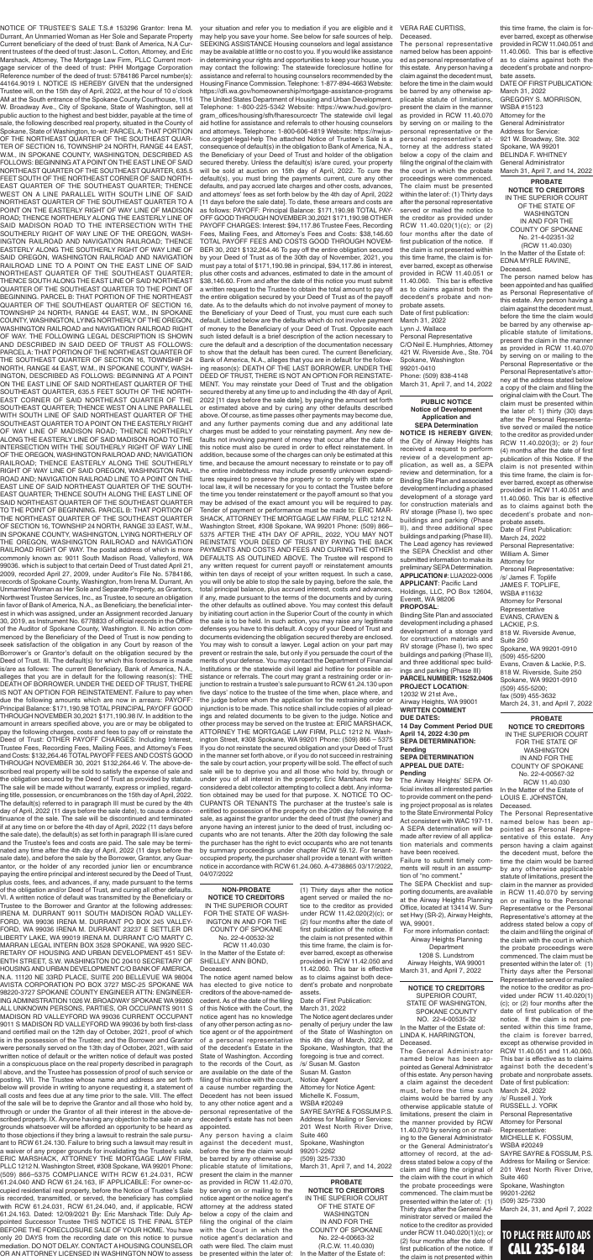CALL 235-6184

NOTICE OF TRUSTEE'S SALE T.S.# 153296 Grantor: Irena M. Durrant, An Unmarried Woman as Her Sole and Separate Property Current beneficiary of the deed of trust: Bank of America, N.A Current trustees of the deed of trust: Jason L. Cotton, Attorney, and Eric Marshack, Attorney, The Mortgage Law Firm, PLLC Current mortgage servicer of the deed of trust: PHH Mortgage Corporation Reference number of the deed of trust: 5784186 Parcel number(s): 44164.9019 I. NOTICE IS HEREBY GIVEN that the undersigned Trustee will, on the 15th day of April, 2022, at the hour of 10 o'clock AM at the South entrance of the Spokane County Courthouse, 1116 W. Broadway Ave., City of Spokane, State of Washington, sell at public auction to the highest and best bidder, payable at the time of sale, the following described real property, situated in the County of Spokane, State of Washington, to-wit: PARCEL A: THAT PORTION OF THE NORTHEAST QUARTER OF THE SOUTHEAST QUAR-TER OF SECTION 16, TOWNSHIP 24 NORTH, RANGE 44 EAST, W.M., IN SPOKANE COUNTY, WASHINGTON, DESCRIBED AS FOLLOWS: BEGINNING AT A POINT ON THE EAST LINE OF SAID NORTHEAST QUARTER OF THE SOUTHEAST QUARTER, 635.5 FEET SOUTH OF THE NORTHEAST CORNER OF SAID NORTH-EAST QUARTER OF THE SOUTHEAST QUARTER; THENCE WEST ON A LINE PARALLEL WITH SOUTH LINE OF SAID NORTHEAST QUARTER OF THE SOUTHEAST QUARTER TO A POINT ON THE EASTERLY RIGHT OF WAY LINE OF MADISON ROAD; THENCE NORTHERLY ALONG THE EASTERLY LINE OF SAID MADISON ROAD TO THE INTERSECTION WITH THE SOUTHERLY RIGHT OF WAY LINE OF THE OREGON, WASH-INGTON RAILROAD AND NAVIGATION RAILROAD; THENCE EASTERLY ALONG THE SOUTHERLY RIGHT OF WAY LINE OF SAID OREGON, WASHINGTON RAILROAD AND NAVIGATION RAILROAD LINE TO A POINT ON THE EAST LINE OF SAID NORTHEAST QUARTER OF THE SOUTHEAST QUARTER; THENCE SOUTH ALONG THE EAST LINE OF SAID NORTHEAST QUARTER OF THE SOUTHEAST QUARTER TO THE POINT OF BEGINNING. PARCEL B: THAT PORTION OF THE NORTHEAST QUARTER OF THE SOUTHEAST QUARTER OF SECTION 16, TOWNSHIP 24 NORTH, RANGE 44 EAST, W.M., IN SPOKANE COUNTY, WASHINGTON, LYING NORTHERLY OF THE OREGON, WASHINGTON RAILROAD and NAVIGATION RAILROAD RIGHT OF WAY. THE FOLLOWING LEGAL DESCRIPTION IS SHOWN AND DESCRIBED IN SAID DEED OF TRUST AS FOLLOWS: PARCEL A: THAT PORTION OF THE NORTHEAST QUARTER OF THE SOUTHEAST QUARTER OF SECTION 16, TOWNSHIP 24 NORTH, RANGE 44 EAST, W.M., IN SPOKANE COUNTY, WASH-INGTON, DESCRIBED AS FOLLOWS: BEGINNING AT A POINT ON THE EAST LINE OF SAID NORTHEAST QUARTER OF THE SOUTHEAST QUARTER, 635.5 FEET SOUTH OF THE NORTH-EAST CORNER OF SAID NORTHEAST QUARTER OF THE SOUTHEAST QUARTER; THENCE WEST ON A LINE PARALLEL WITH SOUTH LINE OF SAID NORTHEAST QUARTER OF THE SOUTHEAST QUARTER TO A POINT ON THE EASTERLY RIGHT OF WAY LINE OF MADISON ROAD; THENCE NORTHERLY ALONG THE EASTERLY LINE OF SAID MADISON ROAD TO THE INTERSECTION WITH THE SOUTHERLY RIGHT OF WAY LINE OF THE OREGON, WASHINGTON RAILROAD AND; NAVIGATION RAILROAD; THENCE EASTERLY ALONG THE SOUTHERLY RIGHT OF WAY LINE OF SAID OREGON, WASHINGTON RAIL-ROAD AND; NAVIGATION RAILROAD LINE TO A POINT ON THE EAST LINE OF SAID NORTHEAST QUARTER OF THE SOUTH-EAST QUARTER; THENCE SOUTH ALONG THE EAST LINE OF SAID NORTHEAST QUARTER OF THE SOUTHEAST QUARTER TO THE POINT OF BEGINNING. PARCEL B: THAT PORTION OF THE NORTHEAST QUARTER OF THE SOUTHEAST QUARTER OF SECTION 16, TOWNSHIP 24 NORTH, RANGE 33 EAST, W.M., IN SPOKANE COUNTY, WASHINGTON, LYING NORTHERLY OF THE OREGON, WASHINGTON RAILROAD and NAVIGATION RAILROAD RIGHT OF WAY. The postal address of which is more commonly known as: 9011 South Madison Road, Valleyford, WA 99036. which is subject to that certain Deed of Trust dated April 21, 2009, recorded April 27, 2009, under Auditor's File No. 5784186, records of Spokane County, Washington, from Irena M. Durrant, An Unmarried Woman as Her Sole and Separate Property, as Grantors, Northwest Trustee Services, Inc., as Trustee, to secure an obligation in favor of Bank of America, N.A., as Beneficiary, the beneficial interest in which was assigned, under an Assignment recorded January 30, 2019, as Instrument No. 6778833 of official records in the Office of the Auditor of Spokane County, Washington. II. No action commenced by the Beneficiary of the Deed of Trust is now pending to seek satisfaction of the obligation in any Court by reason of the Borrower's or Grantor's default on the obligation secured by the Deed of Trust. III. The default(s) for which this foreclosure is made is/are as follows: The current Beneficiary, Bank of America, N.A., alleges that you are in default for the following reason(s): THE DEATH OF BORROWER. UNDER THE DEED OF TRUST, THERE IS NOT AN OPTION FOR REINSTATEMENT. Failure to pay when due the following amounts which are now in arrears: PAYOFF: Principal Balance: \$171,190.98 TOTAL PRINCIPAL PAYOFF GOOD THROUGH NOVEMBER 30,2021 \$171,190.98 IV. In addition to the amount in arrears specified above, you are or may be obligated to pay the following charges, costs and fees to pay off or reinstate the ed of Trust: OTHER PAYOFF CHARGES: Including Inter Trustee Fees, Recording Fees, Mailing Fees, and Attorney's Fees and Costs: \$132,264.46 TOTAL PAYOFF FEES AND COSTS GOOD THROUGH NOVEMBER 30, 2021 \$132,264.46 V. The above-described real property will be sold to satisfy the expense of sale and the obligation secured by the Deed of Trust as provided by statute. The sale will be made without warranty, express or implied, regarding title, possession, or encumbrances on the 15th day of April, 2022. The default(s) referred to in paragraph III must be cured by the 4th day of April, 2022 (11 days before the sale date), to cause a discontinuance of the sale. The sale will be discontinued and terminated if at any time on or before the 4th day of April, 2022 (11 days before the sale date), the default(s) as set forth in paragraph III is/are cured and the Trustee's fees and costs are paid. The sale may be terminated any time after the 4th day of April, 2022 (11 days before the sale date), and before the sale by the Borrower, Grantor, any Guarantor, or the holder of any recorded junior lien or encumbrance paying the entire principal and interest secured by the Deed of Trust, plus costs, fees, and advances, if any, made pursuant to the terms of the obligation and/or Deed of Trust, and curing all other defaults. VI. A written notice of default was transmitted by the Beneficiary or Trustee to the Borrower and Grantor at the following addresses: IRENA M. DURRANT 9011 SOUTH MADISON ROAD VALLEY-FORD, WA 99036 IRENA M. DURRANT PO BOX 245 VALLEY-FORD, WA 99036 IRENA M. DURRANT 23237 E SETTLER DR LIBERTY LAKE, WA 99019 IRENA M. DURRANT C/O MARTY C. MARRAN LEGAL INTERN BOX 3528 SPOKANE, WA 9920 SEC-RETARY OF HOUSING AND URBAN DEVELOPMENT 451 SEV-ENTH STREET, S.W. WASHINGTON DC 20410 SECRETARY OF HOUSING AND URBAN DEVELOPMENT C/O BANK OF AMERICA, N.A. 11120 NE 33RD PLACE, SUITE 200 BELLEVUE WA 98004 AVISTA CORPORATION PO BOX 3727 MSC-25 SPOKANE WA 98220-3727 SPOKANE COUNTY ENGINEER ATTN: ENGINEER-ING ADMINISTRATION 1026 W. BROADWAY SPOKANE WA 99260 ALL UNKNOWN PERSONS, PARTIES, OR OCCUPANTS 9011 S MADISON RD VALLEYFORD WA 99036 CURRENT OCCUPANT 9011 S MADISON RD VALLEYFORD WA 99036 by both first-class and certified mail on the 12th day of October, 2021, proof of which is in the possession of the Trustee; and the Borrower and Grantor were personally served on the 13th day of October, 2021, with said written notice of default or the written notice of default was posted in a conspicuous place on the real property described in paragraph I above, and the Trustee has possession of proof of such service or posting. VII. The Trustee whose name and address are set forth below will provide in writing to anyone requesting it, a statement of all costs and fees due at any time prior to the sale. VIII. The effect of the sale will be to deprive the Grantor and all those who hold by, through or under the Grantor of all their interest in the above-described property. IX. Anyone having any objection to the sale on any grounds whatsoever will be afforded an opportunity to be heard as to those objections if they bring a lawsuit to restrain the sale pursuant to RCW 61.24.130. Failure to bring such a lawsuit may result in a waiver of any proper grounds for invalidating the Trustee's sale. ERIC MARSHACK, ATTORNEY THE MORTGAGE LAW FIRM, PLLC 1212 N. Washington Street, #308 Spokane, WA 99201 Phone: (509) 866–5375 COMPLIANCE WITH RCW 61.24.031, RCW 61.24.040 AND RCW 61.24.163, IF APPLICABLE: For owner-occupied residential real property, before the Notice of Trustee's Sale is recorded, transmitted, or served, the beneficiary has complied with RCW 61.24.031, RCW 61,24.040, and, if applicable, RCW 61.24.163. Dated: 12/09/2021 By: Eric Marshack Title: Duly Appointed Successor Trustee THIS NOTICE IS THE FINAL STEP BEFORE THE FORECLOSURE SALE OF YOUR HOME. You have only 20 DAYS from the recording date on this notice to pursue mediation. DO NOT DELAY. CONTACT A HOUSING COUNSELOR OR AN ATTORNEY LICENSED IN WASHINGTON NOW to assess

**TO PLACE FREE AUTO ADS** The Personal Representative named below has been appointed as Personal Representative of this estate. Any person having a claim against the decedent must, before the time the claim would be barred by any otherwise applicable statute of limitations, present the claim in the manner as provided in RCW 11.40.070 by serving on or mailing to the Personal Representative or the Personal Representative's attorney at the address stated below a copy of the claim and filing the original of the claim with the court in which the probate proceedings were commenced. The claim must be presented within the later of: (1) Thirty days after the Personal Representative served or mailed the notice to the creditor as provided under RCW 11.40.020(1) (c); or (2) four months after the date of first publication of the notice. If the claim is not presented within this time frame, the claim is forever barred, except as otherwise provided in RCW 11.40.051 and 11.40.060. This bar is effective as to claims against both the decedent's probate and nonprobate assets. Date of first publication: March 24, 2022 /s/ Russell J. York RUSSELL J. YORK Personal Representative Attorney for Personal Representative: MICHELLE K. FOSSUM, WSBA #20249 SAYRE SAYRE & FOSSUM, P.S. Address for Mailing or Service: 201 West North River Drive, Suite 460 Spokane, Washington 99201-2262 (509) 325-7330 March 24, 31, and April 7, 2022

# SHELLEY ANN BOND,

The notice agent named below has elected to give notice to creditors of the above-named decedent. As of the date of the filing of this Notice with the Court, the notice agent has no knowledge of any other person acting as notice agent or of the appointment of a personal representative of the decedent's Estate in the State of Washington. According to the records of the Court, as are available on the date of the filing of this notice with the court, a cause number regarding the Decedent has not been issued to any other notice agent and a personal representative of the decedent's estate has not been appointed.

your situation and refer you to mediation if you are eligible and it may help you save your home. See below for safe sources of help. SEEKING ASSISTANCE Housing counselors and legal assistance may be available at little or no cost to you. If you would like assistance in determining your rights and opportunities to keep your house, you may contact the following: The statewide foreclosure hotline for assistance and referral to housing counselors recommended by the Housing Finance Commission. Telephone: 1-877-894-4663 Website: https://dfi.wa.gov/homeownership/mortgage-assistance-programs The United States Department of Housing and Urban Development. Telephone: 1-800-225-5342 Website: https://www.hud.gov/program\_offices/housing/sfh/fharesourcectr The statewide civil legal aid hotline for assistance and referrals to other housing counselors and attorneys. Telephone: 1-800-606-4819 Website: https://nwjustice.org/get-legal-help The attached Notice of Trustee's Sale is a consequence of default(s) in the obligation to Bank of America, N.A., the Beneficiary of your Deed of Trust and holder of the obligation secured thereby. Unless the default(s) is/are cured, your property will be sold at auction on 15th day of April, 2022. To cure the default(s), you must bring the payments current, cure any other defaults, and pay accrued late charges and other costs, advances, and attorneys' fees as set forth below by the 4th day of April, 2022 [11 days before the sale date]. To date, these arrears and costs are as follows: PAYOFF: Principal Balance: \$171,190.98 TOTAL PAY-OFF GOOD THROUGH NOVEMBER 30,2021 \$171,190.98 OTHER PAYOFF CHARGES: Interest: \$94,117.86 Trustee Fees, Recording Fees, Mailing Fees, and Attorney's Fees and Costs: \$38,146.60 TOTAL PAYOFF FEES AND COSTS GOOD THROUGH NOVEM-BER 30, 2021 \$132,264.46 To pay off the entire obligation secured by your Deed of Trust as of the 30th day of November, 2021, you must pay a total of \$171,190.98 in principal, \$94,117.86 in interest, plus other costs and advances, estimated to date in the amount of \$38,146.60. From and after the date of this notice you must submit a written request to the Trustee to obtain the total amount to pay off the entire obligation secured by your Deed of Trust as of the payoff date. As to the defaults which do not involve payment of money to the Beneficiary of your Deed of Trust, you must cure each such default. Listed below are the defaults which do not involve payment of money to the Beneficiary of your Deed of Trust. Opposite each such listed default is a brief description of the action necessary to cure the default and a description of the documentation necessary to show that the default has been cured. The current Beneficiary, Bank of America, N.A., alleges that you are in default for the following reason(s): DEATH OF THE LAST BORROWER. UNDER THE DEED OF TRUST, THERE IS NOT AN OPTION FOR REINSTATE-MENT. You may reinstate your Deed of Trust and the obligation secured thereby at any time up to and including the 4th day of April, 2022 [11 days before the sale date], by paying the amount set forth or estimated above and by curing any other defaults described above. Of course, as time passes other payments may become due, and any further payments coming due and any additional late charges must be added to your reinstating payment. Any new defaults not involving payment of money that occur after the date of this notice must also be cured in order to effect reinstatement. In addition, because some of the charges can only be estimated at this time, and because the amount necessary to reinstate or to pay off the entire indebtedness may include presently unknown expenditures required to preserve the property or to comply with state or local law, it will be necessary for you to contact the Trustee before the time you tender reinstatement or the payoff amount so that you may be advised of the exact amount you will be required to pay. Tender of payment or performance must be made to: ERIC MAR-SHACK, ATTORNEY THE MORTGAGE LAW FIRM, PLLC 1212 N. Washington Street, #308 Spokane, WA 99201 Phone: (509) 866– 5375 AFTER THE 4TH DAY OF APRIL, 2022, YOU MAY NOT REINSTATE YOUR DEED OF TRUST BY PAYING THE BACK PAYMENTS AND COSTS AND FEES AND CURING THE OTHER DEFAULTS AS OUTLINED ABOVE. The Trustee will respond to any written request for current payoff or reinstatement amounts within ten days of receipt of your written request. In such a case, you will only be able to stop the sale by paying, before the sale, the total principal balance, plus accrued interest, costs and advances, if any, made pursuant to the terms of the documents and by curing the other defaults as outlined above. You may contest this default by initiating court action in the Superior Court of the county in which the sale is to be held. In such action, you may raise any legitimate defenses you have to this default. A copy of your Deed of Trust and documents evidencing the obligation secured thereby are enclosed. You may wish to consult a lawyer. Legal action on your part may prevent or restrain the sale, but only if you persuade the court of the merits of your defense. You may contact the Department of Financial Institutions or the statewide civil legal aid hotline for possible assistance or referrals. The court may grant a restraining order or injunction to restrain a trustee's sale pursuant to RCW 61.24.130 upon five days' notice to the trustee of the time when, place where, and the judge before whom the application for the restraining order or injunction is to be made. This notice shall include copies of all pleadings and related documents to be given to the judge. Notice and other process may be served on the trustee at: ERIC MARSHACK, ATTORNEY THE MORTGAGE LAW FIRM, PLLC 1212 N. Washaton Street, #308 Spokane, WA 99201 Phone: (509) 866 If you do not reinstate the secured obligation and your Deed of Trust in the manner set forth above, or if you do not succeed in restraining the sale by court action, your property will be sold. The effect of such sale will be to deprive you and all those who hold by, through or under you of all interest in the property; Eric Marshack may be considered a debt collector attempting to collect a debt. Any information obtained may be used for that purpose. X. NOTICE TO OC-CUPANTS OR TENANTS The purchaser at the trustee's sale is entitled to possession of the property on the 20th day following the sale, as against the grantor under the deed of trust (the owner) and anyone having an interest junior to the deed of trust, including occupants who are not tenants. After the 20th day following the sale the purchaser has the right to evict occupants who are not tenants by summary proceedings under chapter RCW 59.12. For tenantoccupied property, the purchaser shall provide a tenant with written notice in accordance with RCW 61.24.060. A-4738865 03/17/2022, 04/07/2022 **NON-PROBATE NOTICE TO CREDITORS** IN THE SUPERIOR COURT FOR THE STATE OF WASH-INGTON IN AND FOR THE COUNTY OF SPOKANE No. 22-4-00532-32 RCW 11.40.030 In the Matter of the Estate of: Deceased. (1) Thirty days after the notice agent served or mailed the notice to the creditor as provided under RCW 11.42.020(2)(c); or (2) four months after the date of first publication of the notice. If the claim is not presented within this time frame, the claim is forever barred, except as otherwise provided in RCW 11.42.050 and 11.42.060. This bar is effective as to claims against both decedent's probate and nonprobate assets.

Any person having a claim against the decedent must, before the time the claim would be barred by any otherwise applicable statute of limitations, present the claim in the manner as provided in RCW 11.42.070, by serving on or mailing to the notice agent or the notice agent's attorney at the address stated below a copy of the claim and filing the original of the claim with the Court in which the notice agent's declaration and oath were filed. The claim must be presented within the later of:

**NOTICE TO CREDITORS** SUPERIOR COURT, STATE OF WASHINGTON, SPOKANE COUNTY NO. 22-4-00535-32 In the Matter of the Estate of: LINDA K. HARRINGTON,

Deceased. The General Administrator named below has been appointed as General Administrator of this estate. Any person having a claim against the decedent must, before the time such claims would be barred by any otherwise applicable statute of limitations, present the claim in the manner provided by RCW 11.40.070 by serving on or mailing to the General Administrator or the General Administrator's attorney of record, at the address stated below a copy of the claim and filing the original of the claim with the court in which the probate proceedings were commenced. The claim must be presented within the later of: (1) Thirty days after the General Administrator served or mailed the notice to the creditor as provided under RCW 11.040.020(1)(c); or (2) four months after the date of first publication of the notice. If the claim is not presented within

**NOTICE IS HEREBY GIVEN**; the City of Airway Heights has received a request to perform review of a development application, as well as, a SEPA review and determination, for a Binding Site Plan and associated development including a phased development of a storage yard for construction materials and RV storage (Phase I), two spec buildings and parking (Phase II), and three additional spec buildings and parking (Phase III). The Lead agency has reviewed the SEPA Checklist and other submitted information to make its preliminary SEPA Determination. **APPLICATION #**: LUA2022-0006 **APPLICANT**: Pacific Land Holdings, LLC, PO Box 12604, Everett, WA 98206

#### **PROPOSAL**:

Binding Site Plan and associated development including a phased development of a storage yard for construction materials and RV storage (Phase I), two spec buildings and parking (Phase II), and three additional spec buildings and parking (Phase III) **PARCEL NUMBER: 15252.0406 PROJECT LOCATION**: 12032 W 21st Ave., Airway Heights, WA 99001 **WRITTEN COMMENT DUE DATES:**

**14 Day Comment Period DUE April 14, 2022 4:30 pm**

#### **SEPA DETERMINATION: Pending SEPA DETERMINATION APPEAL DUE DATE: Pending**

The Airway Heights' SEPA Official invites all interested parties to provide comment on the pending project proposal as is relates to the State Environmental Policy Act consistent with WAC 197-11. A SEPA determination will be made after review of all application materials and comments have been received.

Failure to submit timely comments will result in an assumption of "no comment."

The SEPA Checklist and supporting documents, are available at the Airway Heights Planning Office, located at 13414 W. Sunset Hwy (SR-2), Airway Heights, WA, 99001.

For more information contact: Airway Heights Planning Department 1208 S. Lundstrom Airway Heights, WA 99001 March 31, and April 7, 2022

**NOTICE TO CREDITORS** IN THE SUPERIOR COURT OF THE STATE OF WASHINGTON IN AND FOR THE COUNTY OF SPOKANE No. 21-4-02351-32 (RCW 11.40.030) In the Matter of the Estate of: EDNA MYRLE RAVINE, Deceased.

The person named below has been appointed and has qualified as Personal Representative of this estate. Any person having a claim against the decedent must, before the time the claim would be barred by any otherwise applicable statute of limitations, present the claim in the manner as provided in RCW 11.40.070 by serving on or mailing to the Personal Representative or the Personal Representative's attorney at the address stated below a copy of the claim and filing the original claim with the Court. The claim must be presented within the later of: 1) thirty (30) days after the Personal Representative served or mailed the notice to the creditor as provided under RCW 11.40.020(3); or 2) four (4) months after the date of first publication of this Notice. If the claim is not presented within this time frame, the claim is forever barred, except as otherwise provided in RCW 11.40.051 and 11.40.060. This bar is effective as to claims against both the decedent's probate and nonprobate assets.

Date of First Publication: March 24, 2022 Personal Representative: William A. Simer Attorney for Personal Representative: /s/ James F. Toplife JAMES F. TOPLIFE, WSBA #11632 Attorney for Personal **Representative** EVANS, CRAVEN & LACKIE, P.S. 818 W. Riverside Avenue, Suite 250 Spokane, WA 99201-0910 (509) 455-5200 Evans, Craven & Lackie, P.S. 818 W. Riverside, Suite 250 Spokane, WA 99201-0910 (509) 455-5200; fax (509) 455-3632 March 24, 31, and April 7, 2022

#### **PROBATE NOTICE TO CREDITORS** IN THE SUPERIOR COURT

FOR THE STATE OF WASHINGTON IN AND FOR THE COUNTY OF SPOKANE No. 22-4-00567-32 RCW 11.40.030 In the Matter of the Estate of LOUIS E. JOHNSTON, Deceased.

**PUBLIC NOTICE Notice of Development Application and SEPA Determination** The personal representative named below has been appointed as personal representative of this estate. Any person having a claim against the decedent must, before the time in the claim would be barred by any otherwise applicable statute of limitations, present the claim in the manner as provided in RCW 11.40.070 by serving on or mailing to the personal representative or the personal representative's attorney at the address stated below a copy of the claim and filing the original of the claim with the court in which the probate proceedings were commenced. The claim must be presented within the later of: (1) Thirty days after the personal representative served or mailed the notice to the creditor as provided under RCW 11.40.020(1)(c); or (2) four months after the date of first publication of the notice. If the claim is not presented within this time frame, the claim is forever barred, except as otherwise provided in RCW 11.40.051 or 11.40.060. This bar is effective as to claims against both the decedent's probate and nonprobate assets. Date of first publication: March 31, 2022 Lynn J. Wallace Personal Representative C/O Neil E. Humphries, Attorney 421 W. Riverside Ave., Ste. 704 Spokane, Washington 99201-0410 Phone: (509) 838-4148 March 31, April 7, and 14, 2022

**PROBATE**  this time frame, the claim is forever barred, except as otherwise provided in RCW 11.040.051 and 11.40.060. This bar is effective as to claims against both the decedent's probate and nonprobate assets. DATE OF FIRST PUBLICATION: March 31, 2022 GREGORY S. MORRISON, WSBA #15123 Attorney for the General Administrator Address for Service: 921 W. Broadway, Ste. 302 Spokane, WA 99201 BELINDA F. WHITNEY General Administrator March 31, April 7, and 14, 2022

**PROBATE NOTICE TO CREDITORS** IN THE SUPERIOR COURT OF THE STATE OF WASHINGTON IN AND FOR THE COUNTY OF SPOKANE No. 22-4-00663-32 (R.C.W. 11.40.030)

In the Matter of the Estate of:

#### Date of First Publication: March 31, 2022

The Notice agent declares under penalty of perjury under the law of the State of Washington on this 4th day of March, 2022, at Spokane, Washington, that the foregoing is true and correct. /s/ Susan M. Gaston Susan M. Gaston Notice Agent Attorney for Notice Agent: Michelle K. Fossum, WSBA #20249 SAYRE SAYRE & FOSSUM P.S. Address for Mailing or Services: 201 West North River Drive, Suite 460 Spokane, Washington 99201-2262 (509) 325-7330 March 31, April 7, and 14, 2022

VERA RAE CURTISS, Deceased.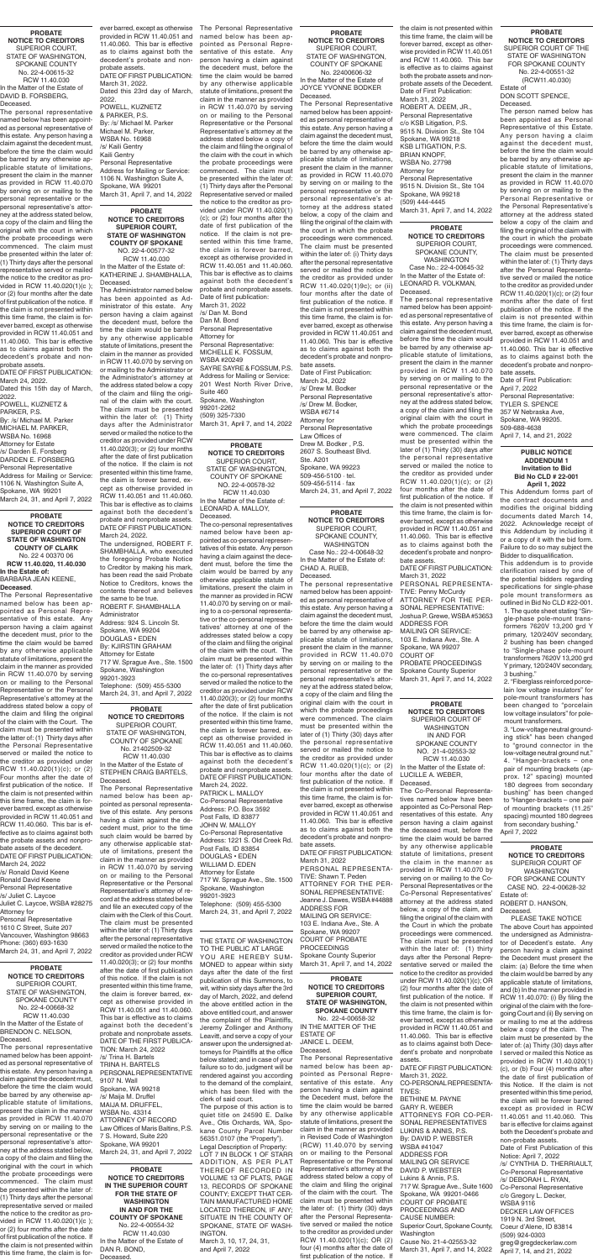**PROBATE NOTICE TO CREDITORS SUPERIOR COURT OF STATE OF WASHINGTON COUNTY OF CLARK** No. 22 4 00370 06 **RCW 11.40.020, 11.40.030 In the Estate of:** BARBARA JEAN KEENE, **Deceased**.

The Personal Representative named below has been appointed as Personal Representative of this estate. Any person having a claim against the decedent must, prior to the time the claim would be barred by any otherwise applicable statute of limitations, present the claim in the manner as provided in RCW 11.40.070 by serving on or mailing to the Personal Representative or the Personal Representative's attorney at the address stated below a copy of the claim and filing the original of the claim with the Court. The claim must be presented within the latter of: (1) Thirty days after the Personal Representative served or mailed the notice to the creditor as provided under RCW 11.40.020(1)(c); or (2) Four months after the date of first publication of the notice. If the claim is not presented within this time frame, the claim is forever barred, except as otherwise provided in RCW 11.40.051 and RCW 11.40.060. This bar is effective as to claims against both the probate assets and nonprobate assets of the decedent. DATE OF FIRST PUBLICATION: March 24, 2022 /s/ Ronald David Keene Ronald David Keene Personal Representative /s/ Juliet C. Laycoe Juliet C. Laycoe, WSBA #28275 Attorney for Personal Representative 1610 C Street, Suite 207 Vancouver, Washington 98663 Phone: (360) 693-1630 March 24, 31, and April 7, 2022

THE STATE OF WASHINGTON TO THE PUBLIC AT LARGE YOU ARE HEREBY SUM-MONED to appear within sixty days after the date of the first publication of this Summons, to wit, within sixty days after the 3rd day of March, 2022, and defend the above entitled action in the above entitled court, and answer the complaint of the Plaintiffs, Jeremy Zollinger and Anthony Leavitt, and serve a copy of your answer upon the undersigned attorneys for Plaintiffs at the office below stated; and in case of your failure so to do, judgment will be rendered against you according to the demand of the complaint, which has been filed with the clerk of said court.

The purpose of this action is to quiet title on 24590 E. Dalke Ave., Otis Orchards, WA, Spokane County Parcel Number 56351.0107 (the "Property"). Legal Description of Property: LOT 7 IN BLOCK 1 OF STARR ADDITION, AS PER PLAT THEREOF RECORDED IN VOLUME 13 OF PLATS, PAGE 13, RECORDS OF SPOKANE COUNTY; EXCEPT THAT CER-TAIN MANUFACTURED HOME LOCATED THEREON, IF ANY; SITUATE IN THE COUNTY OF SPOKANE, STATE OF WASH-INGTON. March 3, 10, 17, 24, 31,

and April 7, 2022

**PROBATE NOTICE TO CREDITORS** SUPERIOR COURT, STATE OF WASHINGTON,

COUNTY OF SPOKANE No. 21402509-32 RCW 11.40.030 In the Matter of the Estate of STEPHEN CRAIG BARTELS, Deceased.

The Personal Representative named below has been appointed as personal representative of this estate. Any persons having a claim against the decedent must, prior to the time such claim would be barred by any otherwise applicable statute of limitations, present the claim in the manner as provided in RCW 11.40.070 by serving on or mailing to the Personal Representative or the Personal Representative's attorney of record at the address stated below and file an executed copy of the claim with the Clerk of this Court. The claim must be presented within the later of: (1) Thirty days after the personal representative served or mailed the notice to the creditor as provided under RCW 11.40.020(3); or (2) four months after the date of first publication of this notice. If the claim is not presented within this time frame, the claim is forever barred, except as otherwise provided in RCW 11.40.051 and 11.40.060. This bar is effective as to claims against both the decedent's probate and nonprobate assets. DATE OF THE FIRST PUBLICA-TION: March 24, 2022 /s/ Trina H. Bartels TRINA H. BARTELS PERSONAL REPRESENTATIVE 9107 N. Wall Spokane, WA 99218 /s/ Maija M. Druffel MAIJA M. DRUFFEL, WSBA No. 43314 ATTORNEY OF RECORD Law Offices of Maris Baltins, P.S. 7 S. Howard, Suite 220 Spokane, WA 99201 March 24, 31, and April 7, 2022

#### **PROBATE NOTICE TO CREDITORS** SUPERIOR COURT,

STATE OF WASHINGTON, COUNTY OF SPOKANE No. 22400606-32

In the Matter of the Estate of JOYCE YVONNE BODKER Deceased.

The Personal Representative named below has been appointed as personal representative of this estate. Any person having a claim against the decedent must, before the time the claim would be barred by any otherwise applicable statute of limitations, present the claim in the manner as provided in RCW 11.40.070 by serving on or mailing to the personal representative or the personal representative's attorney at the address stated below, a copy of the claim and filing the original of the claim with the court in which the probate proceedings were commenced. The claim must be presented within the later of: (i) Thirty days after the personal representative served or mailed the notice to the creditor as provided under RCW 11.40.020(1)9c); or (ii) four months after the date of first publication of the notice. If the claim is not presented within this time frame, the claim is forever barred, except as otherwise provided in RCW 11.40.051 and 11.40.060. This bar is effective as to claims against both the decedent's probate and nonprobate assets. Date of First Publication:

March 24, 2022 /s/ Drew M. Bodker Personal Representative /s/ Drew M. Bodker, WSBA #6714 Attorney for Personal Representative Law Offices of Drew M. Bodker , P.S. 2607 S. Southeast Blvd. Ste. A201 Spokane, WA 99223 509-456-5100 · tel. 509-456-5114 · fax March 24, 31, and April 7, 2022

#### **PROBATE NOTICE TO CREDITORS**

SUPERIOR COURT, STATE OF WASHINGTON, COUNTY OF SPOKANE NO. 22-4-00578-32 RCW 11.40.030 In the Matter of the Estate of: LEONARD A. MALLOY,

Deceased. The co-personal representatives

named below have been appointed as co-personal representatives of this estate. Any person having a claim against the decedent must, before the time the claim would be barred by any otherwise applicable statute of limitations, present the claim in the manner as provided in RCW 11.40.070 by serving on or mailing to a co-personal representative or the co-personal representatives' attorney at one of the addresses stated below a copy of the claim and filing the original of the claim with the court. The claim must be presented within the later of: (1) Thirty days after the co-personal representatives served or mailed the notice to the creditor as provided under RCW 11.40.020(3); or (2) four months after the date of first publication of the notice. If the claim is not presented within this time frame, the claim is forever barred, except as otherwise provided in RCW 11.40.051 and 11.40.060. This bar is effective as to claims against both the decedent's probate and nonprobate assets. DATE OF FIRST PUBLICATION: March 24, 2022. PATRICK L. MALLOY Co-Personal Representative Address: P.O. Box 3592 Post Falls, ID 83877 JOHN W. MALLOY Co-Personal Representative Address: 1221 S. Old Creek Rd. Post Falls, ID 83854 DOUGLAS • EDEN WILLIAM D. EDEN Attorney for Estate 717 W. Sprague Ave., Ste. 1500 Spokane, Washington 99201-3923 Telephone: (509) 455-5300 March 24, 31, and April 7, 2022

#### **PROBATE NOTICE TO CREDITORS SUPERIOR COURT, STATE OF WASHINGTON COUNTY OF SPOKANE** NO. 22-4-00577-32 RCW 11.40.030

In the Matter of the Estate of: KATHERINE J. SHAMBHALLA, Deceased.

The Administrator named below has been appointed as Administrator of this estate. Any person having a claim against the decedent must, before the time the claim would be barred by any otherwise applicable statute of limitations, present the claim in the manner as provided in RCW 11.40.070 by serving on or mailing to the Administrator or the Administrator's attorney at the address stated below a copy of the claim and filing the original of the claim with the court. The claim must be presented within the later of: (1) Thirty days after the Administrator served or mailed the notice to the creditor as provided under RCW 11.40.020(3); or (2) four months after the date of first publication of the notice. If the claim is not presented within this time frame, the claim is forever barred, except as otherwise provided in RCW 11.40.051 and 11.40.060. This bar is effective as to claims against both the decedent's probate and nonprobate assets. DATE OF FIRST PUBLICATION: March 24, 2022.

The undersigned, ROBERT F. SHAMBHALLA, who executed the foregoing Probate Notice to Creditor by making his mark, has been read the said Probate Notice to Creditors, knows the contents thereof and believes the same to be true. ROBERT F. SHAMBHALLA Administrator Address: 924 S. Lincoln St. Spokane, WA 99204 DOUGLAS • EDEN By: KJIRSTIN GRAHAM Attorney for Estate 717 W. Sprague Ave., Ste. 1500 Spokane, Washington 99201-3923

Telephone: (509) 455-5300 March 24, 31, and April 7, 2022

**PROBATE NOTICE TO CREDITORS** SUPERIOR COURT, STATE OF WASHINGTON, SPOKANE COUNTY No. 22-4-00615-32 RCW 11.40.030 In the Matter of the Estate of DAVID B. FORSBERG, Deceased.

The personal representative named below has been appointed as personal representative of this estate. Any person having a claim against the decedent must, before the time the claim would be barred by any otherwise applicable statute of limitations, present the claim in the manner as provided in RCW 11.40.070 by serving on or mailing to the personal representative or the personal representative's attorney at the address stated below, a copy of the claim and filing the original with the court in which the probate proceedings were commenced. The claim must be presented within the later of: (1) Thirty days after the personal representative served or mailed the notice to the creditor as provided in RCW 11.40.020(1)(c ); or (2) four months after the date of first publication of the notice. If the claim is not presented within this time frame, the claim is forever barred, except as otherwise provided in RCW 11.40.051 and 11.40.060. This bar is effective as to claims against both the decedent's probate and non-

probate assets. DATE OF FIRST PUBLICATION: March 24, 2022.

Dated this 15th day of March, 2022.

POWELL, KUZNETZ & PARKER, P.S. By: /s/ Michael M. Parker MICHAEL M. PARKER, WSBA No. 16968 Attorney for Estate /s/ Darden E. Forsberg DARDEN E. FORSBERG Personal Representative Address for Mailing or Service: 1106 N. Washington Suite A, Spokane, WA 99201 March 24, 31, and April 7, 2022

> **PROBATE NOTICE TO CREDITORS IN THE SUPERIOR COURT FOR THE STATE OF WASHINGTON IN AND FOR THE COUNTY OF SPOKANE** No. 22-4-00554-32 RCW 11.40.030 In the Matter of the Estate of DAN R. BOND, Deceased.

**PROBATE NOTICE TO CREDITORS** SUPERIOR COURT OF WASHINGTON IN AND FOR

SPOKANE COUNTY NO. 21-4-02553-32 RCW 11.40.030 In the Matter of the Estate of: LUCILLE A. WEBER, Deceased.

The Co-Personal Representatives named below have been appointed as Co-Personal Representatives of this estate. Any person having a claim against the deceased must, before the time the claim would be barred by any otherwise applicable statute of limitations, present the claim in the manner as provided in RCW 11.40.070 by serving on or mailing to the Co-Personal Representatives or the Co-Personal Representatives' attorney at the address stated below, a copy of the claim, and filing the original of the claim with the Court in which the probate proceedings were commenced. The claim must be presented within the later of: (1) thirty days after the Personal Representative served or mailed the notice to the creditor as provided under RCW 11.40.020(1)(c); OR (2) four months after the date of first publication of the notice. If the claim is not presented within this time frame, the claim is forever barred, except as otherwise provided in RCW 11.40.051 and 11.40.060. This bar is effective as to claims against both Decedent's probate and nonprobate assets.

DATE OF FIRST PUBLICATION: March 31, 2022. CO-PERSONAL REPRESENTA-

TIVES: BETHINE M. PAYNE GARY R. WEBER ATTORNEYS FOR CO-PER-SONAL REPRESENTATIVES LUKINS & ANNIS, P.S. By: DAVID P. WEBSTER WSBA #41047 ADDRESS FOR MAILING OR SERVICE DAVID P. WEBSTER Lukins & Annis, P.S. 717 W. Sprague Ave., Suite 1600 Spokane, WA 99201-0466 COURT OF PROBATE PROCEEDINGS AND CAUSE NUMBER: Superior Court, Spokane County, Washington Cause No. 21-4-02553-32 March 31, April 7, and 14, 2022

#### **PROBATE NOTICE TO CREDITORS** SUPERIOR COURT, SPOKANE COUNTY, WASHINGTON

Case No.: 22-4-00645-32 In the Matter of the Estate of: LEONARD R. VOLKMAN, Deceased.

The personal representative named below has been appointed as personal representative of this estate. Any person having a claim against the decedent must, before the time the claim would be barred by any otherwise applicable statute of limitations, present the claim in the manner provided in RCW 11.40.070 by serving on or mailing to the personal representative or the personal representative's attorney at the address stated below, a copy of the claim and filing the original claim with the court in which the probate proceedings were commenced. The claim must be presented within the later of (1) Thirty (30) days after the personal representative served or mailed the notice to the creditor as provided under RCW 11.40.020(1)(c); or (2) four months after the date of first publication of the notice. If the claim is not presented within this time frame, the claim is forever barred, except as otherwise provided in RCW 11.40.051 and 11.40.060. This bar is effective as to claims against both the decedent's probate and nonprobate assets. DATE OF FIRST PUBLICATION: March 31, 2022 PERSONAL REPRESENTA-TIVE: Penny McCurdy ATTORNEY FOR THE PER-SONAL REPRESENTATIVE: Joshua P. Grewe, WSBA #53653 ADDRESS FOR MAILING OR SERVICE: 103 E. Indiana Ave., Ste. A

Spokane, WA 99207 COURT OF

PROBATE PROCEEDINGS Spokane County Superior March 31, April 7, and 14, 2022

#### **PROBATE NOTICE TO CREDITORS SUPERIOR COURT, STATE OF WASHINGTON, SPOKANE COUNTY** No. 22-4-00658-32

IN THE MATTER OF THE ESTATE OF JANICE L. DEEM, Deceased. The Personal Representative

named below has been appointed as Personal Representative of this estate. Any person having a claim against the Decedent must, before the time the claim would be barred by any otherwise applicable statute of limitations, present the claim in the manner as provided in Revised Code of Washington (RCW) 11.40.070 by serving on or mailing to the Personal Representative or the Personal Representative's attorney at the address stated below a copy of the claim and filing the original of the claim with the court. The claim must be presented within the later of: (1) thirty (30) days after the Personal Representative served or mailed the notice to the creditor as provided under RCW 11.40.020(1)(c); OR (2) four (4) months after the date of first publication of the notice. If

**PROBATE NOTICE TO CREDITORS** SUPERIOR COURT, STATE OF WASHINGTON, SPOKANE COUNTY No. 22-4-00668-32 RCW 11.40.030 In the Matter of the Estate of BRENDON C. NELSON, Deceased.

The personal representative named below has been appointed as personal representative of this estate. Any person having a claim against the decedent must, before the time the claim would be barred by any otherwise applicable statute of limitations, present the claim in the manner as provided in RCW 11.40.070 by serving on or mailing to the personal representative or the personal representative's attorney at the address stated below, a copy of the claim and filing the original with the court in which the probate proceedings were commenced. The claim must be presented within the later of: (1) Thirty days after the personal representative served or mailed the notice to the creditor as provided in RCW 11.40.020(1)(c ); or (2) four months after the date of first publication of the notice. If the claim is not presented within this time frame, the claim is for-

#### **PROBATE**

**NOTICE TO CREDITORS** SUPERIOR COURT, SPOKANE COUNTY, WASHINGTON Case No.: 22-4-00648-32 In the Matter of the Estate of:

CHAD A. RUEB, Deceased.

The personal representative named below has been appointed as personal representative of this estate. Any person having a claim against the decedent must, before the time the claim would be barred by any otherwise applicable statute of limitations, present the claim in the manner provided in RCW 11.40.070 by serving on or mailing to the personal representative or the personal representative's attorney at the address stated below, a copy of the claim and filing the original claim with the court in which the probate proceedings were commenced. The claim must be presented within the later of (1) Thirty (30) days after the personal representative served or mailed the notice to the creditor as provided under RCW 11.40.020(1)(c); or (2) four months after the date of first publication of the notice. If the claim is not presented within this time frame, the claim is forever barred, except as otherwise provided in RCW 11.40.051 and 11.40.060. This bar is effective as to claims against both the decedent's probate and nonprobate assets. DATE OF FIRST PUBLICATION: March 31, 2022 PERSONAL REPRESENTA-TIVE: Shawn T. Peden ATTORNEY FOR THE PER-SONAL REPRESENTATIVE: Jeanne J. Dawes, WSBA #44888 ADDRESS FOR MAILING OR SERVICE: 103 E. Indiana Ave., Ste. A Spokane, WA 99207 COURT OF PROBATE PROCEEDINGS Spokane County Superior March 31, April 7, and 14, 2022

ever barred, except as otherwise The Personal Representative provided in RCW 11.40.051 and 11.40.060. This bar is effective as to claims against both the decedent's probate and nonprobate assets. DATE OF FIRST PUBLICATION: March 31, 2022. Dated this 23rd day of March, 2022. POWELL, KUZNETZ & PARKER, P.S. By: /s/ Michael M. Parker Michael M. Parker, WSBA No. 16968 /s/ Kaili Gentry Kaili Gentry Personal Representative Address for Mailing or Service: 1106 N. Washington Suite A,

Spokane, WA 99201 March 31, April 7, and 14, 2022

named below has been appointed as Personal Representative of this estate. Any person having a claim against the decedent must, before the time the claim would be barred by any otherwise applicable statute of limitations, present the claim in the manner as provided in RCW 11.40.070 by serving on or mailing to the Personal Representative or the Personal Representative's attorney at the address stated below a copy of the claim and filing the original of the claim with the court in which the probate proceedings were commenced. The claim must be presented within the later of: (1) Thirty days after the Personal Representative served or mailed the notice to the creditor as provided under RCW 11.40.020(1) (c); or (2) four months after the date of first publication of the notice. If the claim is not presented within this time frame, the claim is forever barred, except as otherwise provided in RCW 11.40.051 and 11.40.060. This bar is effective as to claims against both the decedent's probate and nonprobate assets. Date of first publication: March 31, 2022 /s/ Dan M. Bond Dan M. Bond Personal Representative Attorney for Personal Representative: MICHELLE K. FOSSUM, WSBA #20249 SAYRE SAYRE & FOSSUM, P.S. Address for Mailing or Service: 201 West North River Drive, Suite 460 Spokane, Washington

99201-2262 (509) 325-7330

March 31, April 7, and 14, 2022

the claim is not presented within this time frame, the claim will be forever barred, except as otherwise provided in RCW 11.40.051 and RCW 11.40.060. This bar is effective as to claims against both the probate assets and nonprobate assets of the Decedent. Date of First Publication: March 31, 2022 ROBERT A. DEEM, JR., Personal Representative c/o KSB Litigation, P.S. 9515 N. Division St., Ste 104 Spokane, WA 99218 KSB LITIGATION, P.S. BRIAN KNOPF, WSBA No. 27798 Attorney for Personal Representative 9515 N. Division St., Ste 104 Spokane, WA 99218 (509) 444-4445

March 31, April 7, and 14, 2022

#### **PROBATE NOTICE TO CREDITORS** SUPERIOR COURT OF THE STATE OF WASHINGTON FOR SPOKANE COUNTY No. 22-4-00551-32 (RCW11.40.030) Estate of

DON SCOTT SPENCE, Deceased.

The person named below has been appointed as Personal Representative of this Estate. Any person having a claim against the decedent must, before the time the claim would be barred by any otherwise applicable statute of limitations, present the claim in the manner as provided in RCW 11.40.070 by serving on or mailing to the Personal Representative or the Personal Representative's attorney at the address stated below a copy of the claim and filing the original of the claim with the court in which the probate proceedings were commenced. The claim must be presented within the later of: (1) Thirty days after the Personal Representative served or mailed the notice to the creditor as provided under RCW 11.40.020(1)(c); or (2) four months after the date of first publication of the notice. If the claim is not presented within this time frame, the claim is forever barred, except as otherwise provided in RCW 11.40.051 and 11.40.060. This bar is effective as to claims against both the decedent's probate and nonprobate assets.

Date of First Publication: April 7, 2022 Personal Representative: TYLER S. SPENCE 357 W Nebraska Ave, Spokane, WA 99205. 509-688-4638 April 7, 14, and 21, 2022

#### **PUBLIC NOTICE ADDENDUM 1 Invitation to Bid Bid No CLD # 22-001 April 1, 2022**

This Addendum forms part of the contract documents and modifies the original bidding documents dated March 14, 2022. Acknowledge receipt of this Addendum by including it or a copy of it with the bid form. Failure to do so may subject the Bidder to disqualification.

This addendum is to provide clarification raised by one of the potential bidders regarding specifications for single-phase pole mount transformers as outlined in Bid No CLD #22-001.

1. The quote sheet stating "Single-phase pole-mount transformers 7620V 13,200 grd Y primary, 120/240V secondary, 2 bushing has been changed to "Single-phase pole-mount transformers 7620V 13,200 grd Y primary, 120/240V secondary, 3 bushing."

2. "Fiberglass reinforced porcelain low voltage insulators" for pole-mount transformers has been changed to "porcelain low voltage insulators" for polemount transformers.

3. "Low-voltage neutral grounding stick" has been changed to "ground connector in the low-voltage neutral ground nut." 4. "Hanger-brackets – one pair of mounting brackets (approx. 12" spacing) mounted 180 degrees from secondary bushing" has been changed to "Hanger-brackets – one pair of mounting brackets (11.25" spacing) mounted 180 degrees from secondary bushing. April 7, 2022

**PROBATE NOTICE TO CREDITORS** SUPERIOR COURT OF WASHINGTON FOR SPOKANE COUNTY CASE NO. 22-4-00628-32 Estate of: ROBERT D. HANSON, Deceased. PLEASE TAKE NOTICE

The above Court has appointed the undersigned as Administrator of Decedent's estate. Any person having a claim against the Decedent must present the claim: (a) Before the time when the claim would be barred by any applicable statute of limitations, and (b) In the manner provided in RCW 11.40.070: (i) By filing the original of the claim with the foregoing Court and (ii) By serving on or mailing to me at the address below a copy of the claim. The claim must be presented by the later of: (a) Thirty (30) days after I served or mailed this Notice as provided in RCW 11.40.020(1) (c), or (b) Four (4) months after the date of first publication of this Notice. If the claim is not presented within this time period, the claim will be forever barred except as provided in RCW 11.40.051 and 11.40.060. This bar is effective for claims against both the Decedent's probate and non-probate assets. Date of First Publication of this Notice: April 7, 2022 /s/ CYNTHIA D. THERRIAULT, Co-Personal Representative /s/ DEBORAH L. RYAN, Co-Personal Representative c/o Gregory L. Decker, WSBA 9116 DECKER LAW OFFICES 1919 N. 3rd Street, Coeur d'Alene, ID 83814 (509) 924-0303 greg@gregdeckerlaw.com April 7, 14, and 21, 2022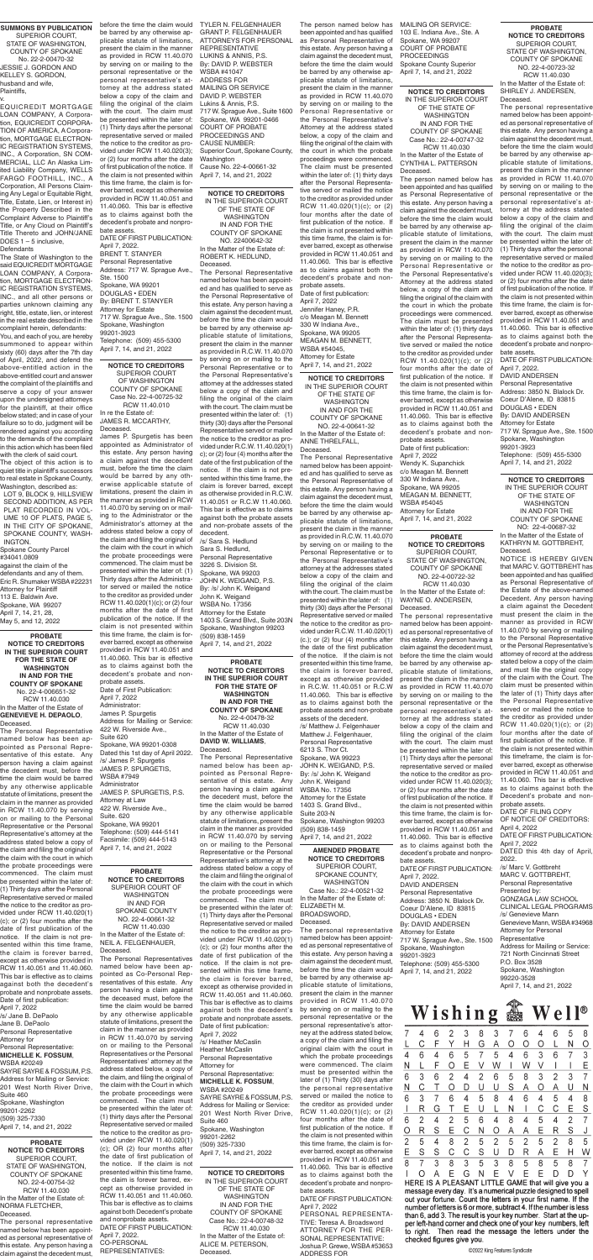**PROBATE NOTICE TO CREDITORS IN THE SUPERIOR COURT FOR THE STATE OF WASHINGTON IN AND FOR THE COUNTY OF SPOKANE** No. 22-4-006651-32 RCW 11.40.030 In the Matter of the Estate of **GENEVIEVE H. DEPAOLO**, Deceased. The Personal Representative

named below has been ap-

pointed as Personal Representative of this estate. Any person having a claim against the decedent must, before the time the claim would be barred by any otherwise applicable statute of limitations, present the claim in the manner as provided in RCW 11.40.070 by serving on or mailing to the Personal Representative or the Personal Representative's attorney at the address stated below a copy of the claim and filing the original of the claim with the court in which the probate proceedings were commenced. The claim must be presented within the later of: (1) Thirty days after the Personal Representative served or mailed the notice to the creditor as provided under RCW 11.40.020(1) (c); or (2) four months after the date of first publication of the notice. If the claim is not presented within this time frame, the claim is forever barred, except as otherwise provided in RCW 11.40.051 and 11.40.060. This bar is effective as to claims against both the decedent's probate and nonprobate assets. Date of first publication: April 7, 2022

/s/ Jane B. DePaolo Jane B. DePaolo Personal Representative Attorney for Personal Representative: **MICHELLE K. FOSSUM**, WSBA #20249 SAYRE SAYRE & FOSSUM, P.S. Address for Mailing or Service: 201 West North River Drive, Suite 460 Spokane, Washington 99201-2262 (509) 325-7330

April 7, 14, and 21, 2022

**SUMMONS BY PUBLICATION** SUPERIOR COURT, STATE OF WASHINGTON, COUNTY OF SPOKANE No. 22-2-00470-32 JESSIE J. GORDON AND KELLEY S. GORDON, husband and wife, Plaintiffs, v.

> RCW 11.40.010 In re the Estate of: JAMES R. MCCARTHY, **Deceased.**

EQUICREDIT MORTGAGE LOAN COMPANY, A Corporation, EQUICREDIT CORPORA-TION OF AMERICA, A Corporation, MORTGAGE ELECTRON-IC REGISTRATION SYSTEMS, INC., A Corporation, SN COM-MERCIAL, LLC An Alaska Limited Liability Company, WELLS FARGO FOOTHILL, INC., A Corporation, All Persons Claiming Any Legal or Equitable Right, Title, Estate, Lien, or Interest in) the Property Described in the Complaint Adverse to Plaintiff's Title, or Any Cloud on Plaintiff's Title Thereto and JOHN/JANE DOES 1 – 5 inclusive,

**Defendants** 

The State of Washington to the said EQUICREDIT MORTGAGE LOAN COMPANY, A Corporation, MORTGAGE ELECTRON-IC REGISTRATION SYSTEMS, INC., and all other persons or parties unknown claiming any right, title, estate, lien, or interest in the real estate described in the complaint herein, defendants:

You, and each of you, are hereby summoned to appear within sixty (60) days after the 7th day of April, 2022, and defend the above-entitled action in the above-entitled court and answer the complaint of the plaintiffs and serve a copy of your answer upon the undersigned attorneys for the plaintiff, at their office below stated; and in case of your failure so to do, judgment will be rendered against you according to the demands of the complaint in this action which has been filed with the clerk of said court.

The object of this action is to quiet title in plaintiff's successors to real estate in Spokane County, Washington, described as:

LOT 9, BLOCK 9, HILLSVIEW SECOND ADDITION, AS PER PLAT RECORDED IN VOL-UME 10 OF PLATS, PAGE 5, IN THE CITY OF SPOKANE, SPOKANE COUNTY, WASH-INGTON.

Spokane County Parcel #34041.0809

against the claim of the defendants and any of them. Eric R. Shumaker WSBA #22231 Attorney for Plaintiff 113 E. Baldwin Ave. Spokane, WA 99207 April 7, 14, 21, 28, May 5, and 12, 2022

**NOTICE TO CREDITORS** SUPERIOR COURT OF WASHINGTON COUNTY OF SPOKANE Case No. 22-4-00725-32

James P. Spurgetis has been appointed as Administrator of this estate. Any person having a claim against the decedent must, before the time the claim would be barred by any otherwise applicable statute of limitations, present the claim in the manner as provided in RCW 11.40.070 by serving on or mailing to the Administrator or the Administrator's attorney at the address stated below a copy of the claim and filing the original of the claim with the court in which the probate proceedings were commenced. The claim must be presented within the later of: (1) Thirty days after the Administrator served or mailed the notice to the creditor as provided under RCW 11.40.020(1)(c); or (2) four months after the date of first publication of the notice. If the claim is not presented within this time frame, the claim is forever barred, except as otherwise provided in RCW 11.40.051 and 11.40.060. This bar is effective as to claims against both the decedent's probate and nonprobate assets. Date of First Publication: April 7, 2022 Administrator: James P. Spurgetis Address for Mailing or Service: 422 W. Riverside Ave., Suite 620

Spokane, WA 99201-0308 Dated this 1st day of April 2022. /s/ James P. Spurgetis JAMES P. SPURGETIS, WSBA #7949 Administrator JAMES P. SPURGETIS, P.S. Attorney at Law 422 W. Riverside Ave., Suite. 620 Spokane, WA 99201 Telephone: (509) 444-5141 Facsimile: (509) 444-5143 April 7, 14, and 21, 2022

**PROBATE NOTICE TO CREDITORS IN THE SUPERIOR COURT FOR THE STATE OF WASHINGTON IN AND FOR THE COUNTY OF SPOKANE** No. 22-4-00478-32 RCW 11.40.030 In the Matter of the Estate of **DAVID W. WILLIAMS**,

### Deceased.

The Personal Representative named below has been appointed as Personal Representative of this estate. Any person having a claim against the decedent must, before the time the claim would be barred by any otherwise applicable statute of limitations, present the claim in the manner as provided in RCW 11.40.070 by serving on or mailing to the Personal Representative or the Personal Representative's attorney at the address stated below a copy of the claim and filing the original of the claim with the court in which the probate proceedings were commenced. The claim must be presented within the later of: (1) Thirty days after the Personal Representative served or mailed the notice to the creditor as provided under RCW 11.40.020(1) (c); or (2) four months after the date of first publication of the notice. If the claim is not presented within this time frame, the claim is forever barred, except as otherwise provided in RCW 11.40.051 and 11.40.060. This bar is effective as to claims against both the decedent's probate and nonprobate assets. Date of first publication: April 7, 2022 /s/ Heather McCaslin Heather McCaslin Personal Representative Attorney for Personal Representative: **MICHELLE K. FOSSUM**, WSBA #20249

SAYRE SAYRE & FOSSUM, P.S. Address for Mailing or Service: 201 West North River Drive, Suite 460 Spokane, Washington 99201-2262 (509) 325-7330 April 7, 14, and 21, 2022

**NOTICE TO CREDITORS** IN THE SUPERIOR COURT OF THE STATE OF WASHINGTON IN AND FOR THE COUNTY OF SPOKANE Case No.: 22-4-00747-32

RCW 11.40.030 In the Matter of the Estate of CYNTHIA L. PATTERSON Deceased.

**PROBATE NOTICE TO CREDITORS** SUPERIOR COURT OF WASHINGTON IN AND FOR SPOKANE COUNTY NO. 22-4-00661-32 RCW 11.40.030 In the Matter of the Estate of: NEIL A. FELGENHAUER, Deceased.

The Personal Representatives named below have been appointed as Co-Personal Representatives of this estate. Any person having a claim against the deceased must, before the time the claim would be barred by any otherwise applicable statute of limitations, present the claim in the manner as provided in RCW 11.40.070 by serving on or mailing to the Personal Representatives or the Personal Representatives' attorney at the address stated below, a copy of the claim, and filing the original of the claim with the Court in which the probate proceedings were commenced. The claim must be presented within the later of: (1) thirty days after the Personal Representative served or mailed the notice to the creditor as provided under RCW 11.40.020(1) (c); OR (2) four months after the date of first publication of the notice. If the claim is not presented within this time frame, the claim is forever barred, except as otherwise provided in RCW 11.40.051 and 11.40.060. This bar is effective as to claims against both Decedent's probate and nonprobate assets. DATE OF FIRST PUBLICATION: April 7, 2022. CO-PERSONAL REPRESENTATIVES:

**PROBATE NOTICE TO CREDITORS** SUPERIOR COURT, STATE OF WASHINGTON, COUNTY OF SPOKANE NO. 22-4-00754-32 RCW 11.40.030 In the Matter of the Estate of: NORMA FLETCHER, Deceased.

The personal representative named below has been appointed as personal representative of this estate. Any person having a claim against the decedent must,

**NOTICE TO CREDITORS** IN THE SUPERIOR COURT OF THE STATE OF WASHINGTON IN AND FOR THE COUNTY OF SPOKANE NO. 22400642-32 In the Matter of the Estate of: ROBERT K. HEDLUND, Deceased.

The Personal Representative named below has been appointed and has qualified to serve as the Personal Representative of this estate. Any person having a claim against the decedent must, before the time the claim would be barred by any otherwise applicable statute of limitations, present the claim in the manner as provided in R.C.W. 11.40.070 by serving on or mailing to the Personal Representative or to the Personal Representative's attorney at the addresses stated below a copy of the claim and filing the original of the claim with the court. The claim must be presented within the later of: (1) thirty (30) days after the Personal Representative served or mailed the notice to the creditor as provided under R.C.W. 11.40.020(1) c); or (2) four (4) months after the date of the first publication of the notice. If the claim is not presented within this time frame, the claim is forever barred, except as otherwise provided in R.C.W. 11.40.051 or R.C.W 11.40.060. This bar is effective as to claims against both the probate assets and non-probate assets of the

The person named below has been appointed and has qualified as Personal Representative of this estate. Any person having a claim against the decedent must, before the time the claim would be barred by any otherwise applicable statute of limitations, present the claim in the manner as provided in RCW 11.40.070 by serving on or mailing to the Personal Representative or the Personal Representative's Attorney at the address stated below, a copy of the claim and filing the original of the claim with the court in which the probate proceedings were commenced. The claim must be presented within the later of: (1) thirty days after the Personal Representative served or mailed the notice to the creditor as provided under RCW 11.40.020(1)(c); or (2) four months after the date of first publication of the notice. If the claim is not presented within this time frame, the claim is forever barred, except as otherwise provided in RCW 11.40.051 and 11.40.060. This bar is effective as to claims against both the decedent's probate and nonprobate assets. Date of first publication: April 7, 2022 Wendy K. Supanchick c/o Meagan M. Bennett 330 W Indiana Ave., Spokane, WA 99205 MEAGAN M. BENNETT, WSBA #54045 Attorney for Estate April 7, 14, and 21, 2022 **PROBATE NOTICE TO CREDITORS** SUPERIOR COURT,

decedent. /s/ Sara S. Hedlund Sara S. Hedlund, Personal Representative 3226 S. Division St. Spokane, WA 99203 JOHN K. WEIGAND, P.S. By: /s/ John K. Weigand John K. Weigand WSBA No. 17356 Attorney for the Estate 1403 S. Grand Blvd., Suite 203N Spokane, Washington 99203 (509) 838-1459 April 7, 14, and 21, 2022

**NOTICE TO CREDITORS** IN THE SUPERIOR COURT OF THE STATE OF WASHINGTON IN AND FOR THE COUNTY OF SPOKANE NO. 22-4-00641-32 In the Matter of the Estate of:

ANNE THRELFALL, Deceased.

The Personal Representative named below has been appointed and has qualified to serve as the Personal Representative of this estate. Any person having a claim against the decedent must, before the time the claim would be barred by any otherwise applicable statute of limitations, present the claim in the manner as provided in R.C.W. 11.40.070 by serving on or mailing to the Personal Representative or to the Personal Representative's attorney at the addresses stated below a copy of the claim and filing the original of the claim with the court. The claim must be presented within the later of: (1) thirty (30) days after the Personal Representative served or mailed the notice to the creditor as provided under R.C.W. 11.40.020(1) (c.); or (2) four (4) months after the date of the first publication of the notice. If the claim is not presented within this time frame, the claim is forever barred, except as otherwise provided in R.C.W. 11.40.051 or R.C.W 11.40.060. This bar is effective as to claims against both the probate assets and non-probate assets of the decedent.

/s/ Matthew J. Felgenhauer Matthew J. Felgenhauer,

Personal Representative 6213 S. Thor Ct. Spokane, WA 99223 JOHN K. WEIGAND, P.S. By: /s/ John K. Weigand John K. Weigand WSBA No. 17356 Attorney for the Estate 1403 S. Grand Blvd., Suite 203-N Spokane, Washington 99203 (509) 838-1459 April 7, 14, and 21, 2022

> **AMENDED PROBATE NOTICE TO CREDITORS** SUPERIOR COURT,

SPOKANE COUNTY, WASHINGTON Case No.: 22-4-00521-32 In the Matter of the Estate of: ELIZABETH M. BROADSWORD, Deceased.

The personal representative named below has been appointed as personal representative of this estate. Any person having a claim against the decedent must, before the time the claim would be barred by any otherwise applicable statute of limitations, present the claim in the manner provided in RCW 11.40.070 by serving on or mailing to the personal representative or the personal representative's attorney at the address stated below, a copy of the claim and filing the original claim with the court in which the probate proceedings were commenced. The claim must be presented within the later of (1) Thirty (30) days after the personal representative served or mailed the notice to the creditor as provided under RCW 11.40.020(1)(c); or (2) four months after the date of first publication of the notice. If the claim is not presented within this time frame, the claim is forever barred, except as otherwise provided in RCW 11.40.051 and 11.40.060. This bar is effective as to claims against both the

decedent's probate and nonprobate assets.

DATE OF FIRST PUBLICATION: April 7, 2022 PERSONAL REPRESENTA-

TIVE: Teresa A. Broadsword ATTORNEY FOR THE PER-SONAL REPRESENTATIVE: Joshua P. Grewe, WSBA #53653 ADDRESS FOR



message every day. It's a numerical puzzle designed to spell out your fortune. Count the letters in your first name. If the number of letters is 6 or more, subtract 4. If the number is less than 6, add 3. The result is your key number. Start at the upper left-hand corner and check one of your key numbers, left to right. Then read the message the letters under the checked figures give you.

STATE OF WASHINGTON, COUNTY OF SPOKANE NO. 22-4-00722-32 RCW 11.40.030 In the Matter of the Estate of: WAYNE O. ANDERSEN, Deceased.

The personal representative named below has been appointed as personal representative of this estate. Any person having a claim against the decedent must, before the time the claim would be barred by any otherwise applicable statute of limitations, present the claim in the manner as provided in RCW 11.40.070 by serving on or mailing to the personal representative or the personal representative's attorney at the address stated below a copy of the claim and filing the original of the claim with the court. The claim must be presented within the later of: (1) Thirty days after the personal representative served or mailed the notice to the creditor as provided under RCW 11.40.020(3); or (2) four months after the date of first publication of the notice. If the claim is not presented within this time frame, the claim is forever barred, except as otherwise provided in RCW 11.40.051 and 11.40.060. This bar is effective as to claims against both the decedent's probate and nonprobate assets. DATE OF FIRST PUBLICATION: April 7, 2022. DAVID ANDERSEN Personal Representative Address: 3850 N. Blalock Dr. Coeur D'Alene, ID 83815 DOUGLAS • EDEN By: DAVID ANDERSEN Attorney for Estate 717 W. Sprague Ave., Ste. 1500 Spokane, Washington 99201-3923 Telephone: (509) 455-5300 April 7, 14, and 21, 2022

#### **PROBATE NOTICE TO CREDITORS** SUPERIOR COURT, STATE OF WASHINGTON, COUNTY OF SPOKANE NO. 22-4-00723-32

RCW 11.40.030 In the Matter of the Estate of: SHIRLEY J. ANDERSEN, Deceased.

The personal representative named below has been appointed as personal representative of this estate. Any person having a claim against the decedent must, before the time the claim would be barred by any otherwise applicable statute of limitations, present the claim in the manner as provided in RCW 11.40.070 by serving on or mailing to the personal representative or the personal representative's attorney at the address stated below a copy of the claim and filing the original of the claim with the court. The claim must be presented within the later of: (1) Thirty days after the personal representative served or mailed the notice to the creditor as provided under RCW 11.40.020(3); or (2) four months after the date of first publication of the notice. If the claim is not presented within this time frame, the claim is forever barred, except as otherwise provided in RCW 11.40.051 and 11.40.060. This bar is effective as to claims against both the decedent's probate and nonprobate assets.

DATE OF FIRST PUBLICATION: April 7, 2022. DAVID ANDERSEN Personal Representative Address: 3850 N. Blalock Dr. Coeur D'Alene, ID 83815 DOUGLAS • EDEN By: DAVID ANDERSEN Attorney for Estate 717 W. Sprague Ave., Ste. 1500 Spokane, Washington 99201-3923 Telephone: (509) 455-5300

**NOTICE TO CREDITORS** IN THE SUPERIOR COURT OF THE STATE OF WASHINGTON IN AND FOR THE COUNTY OF SPOKANE Case No.: 22-4-00748-32 RCW 11.40.030 In the Matter of the Estate of: ALICE M. PETERSON, Deceased.

before the time the claim would TYLER N. FELGENHAUER be barred by any otherwise applicable statute of limitations, present the claim in the manner as provided in RCW 11.40.070 by serving on or mailing to the personal representative or the personal representative's attorney at the address stated below a copy of the claim and filing the original of the claim with the court. The claim must be presented within the later of: (1) Thirty days after the personal representative served or mailed the notice to the creditor as provided under RCW 11.40.020(3); or (2) four months after the date of first publication of the notice. If the claim is not presented within this time frame, the claim is forever barred, except as otherwise provided in RCW 11.40.051 and 11.40.060. This bar is effective as to claims against both the decedent's probate and nonprobate assets.

DATE OF FIRST PUBLICATION: April 7, 2022. BRENT T. STANYER Personal Representative Address: 717 W. Sprague Ave., Ste. 1500 Spokane, WA 99201 DOUGLAS • EDEN By: BRENT T. STANYER Attorney for Estate 717 W. Sprague Ave., Ste. 1500 Spokane, Washington 99201-3923 Telephone: (509) 455-5300 April 7, 14, and 21, 2022

GRANT P. FELGENHAUER ATTORNEYS FOR PERSONAL REPRESENTATIVE LUKINS & ANNIS, P.S. By: DAVID P. WEBSTER WSBA #41047 ADDRESS FOR MAILING OR SERVICE DAVID P. WEBSTER Lukins & Annis, P.S. 717 W. Sprague Ave., Suite 1600 Spokane, WA 99201-0466 COURT OF PROBATE PROCEEDINGS AND CAUSE NUMBER: Superior Court, Spokane County, Washington Cause No. 22-4-00661-32 April 7, 14, and 21, 2022

> April 7, 14, and 21, 2022 **NOTICE TO CREDITORS** IN THE SUPERIOR COURT OF THE STATE OF

The person named below has been appointed and has qualified as Personal Representative of this estate. Any person having a claim against the decedent must, before the time the claim would be barred by any otherwise applicable statute of limitations, present the claim in the manner as provided in RCW 11.40.070 by serving on or mailing to the Personal Representative or the Personal Representative's Attorney at the address stated below, a copy of the claim and filing the original of the claim with the court in which the probate proceedings were commenced. The claim must be presented within the later of: (1) thirty days after the Personal Representative served or mailed the notice to the creditor as provided under RCW 11.40.020(1)(c); or (2) four months after the date of first publication of the notice. If the claim is not presented within this time frame, the claim is forever barred, except as otherwise provided in RCW 11.40.051 and 11.40.060. This bar is effective as to claims against both the decedent's probate and nonprobate assets.

Date of first publication: April 7, 2022 Jennifer Haney, P.R. c/o Meagan M. Bennett 330 W Indiana Ave., Spokane, WA 99205 MEAGAN M. BENNETT, WSBA #54045, Attorney for Estate April 7, 14, and 21, 2022 MAILING OR SERVICE: 103 E. Indiana Ave., Ste. A Spokane, WA 99207 COURT OF PROBATE PROCEEDINGS Spokane County Superior April 7, 14, and 21, 2022

> WASHINGTON IN AND FOR THE COUNTY OF SPOKANE NO: 22-4-00687-32

In the Matter of the Estate of KATHRYN M. GOTTBREHT, Deceased.

NOTICE IS HEREBY GIVEN that MARC V. GOTTBREHT has been appointed and has qualified as Personal Representative of the Estate of the above-named Decedent. Any person having a claim against the Decedent must present the claim in the manner as provided in RCW 11.40.070 by serving or mailing to the Personal Representative or the Personal Representative's attorney of record at the address stated below a copy of the claim and must file the original copy of the claim with the Court. The claim must be presented within the later of (1) Thirty days after the Personal Representative served or mailed the notice to the creditor as provided under RCW 11.40.020(1)(c); or (2) four months after the date of first publication of the notice. If the claim is not presented within this timeframe, the claim is forever barred, except as otherwise provided in RCW 11.40.051 and 11.40.060. This bar is effective as to claims against both the Decedent's probate and nonprobate assets. DATE OF FILING COPY OF NOTICE OF CREDITORS: April 4, 2022 DATE OF FIRST PUBLICATION: April 7, 2022 DATED this 4th day of April, 2022. /s/ Marc V. Gottbreht MARC V. GOTTBREHT, Personal Representative Presented by: GONZAGA LAW SCHOOL CLINICAL LEGAL PROGRAMS /s/ Genevieve Mann Genevieve Mann, WSBA #34968 Attorney for Personal **Representative** Address for Mailing or Service: 721 North Cincinnati Street P.O. Box 3528 Spokane, Washington 99220-3528 April 7, 14, and 21, 2022